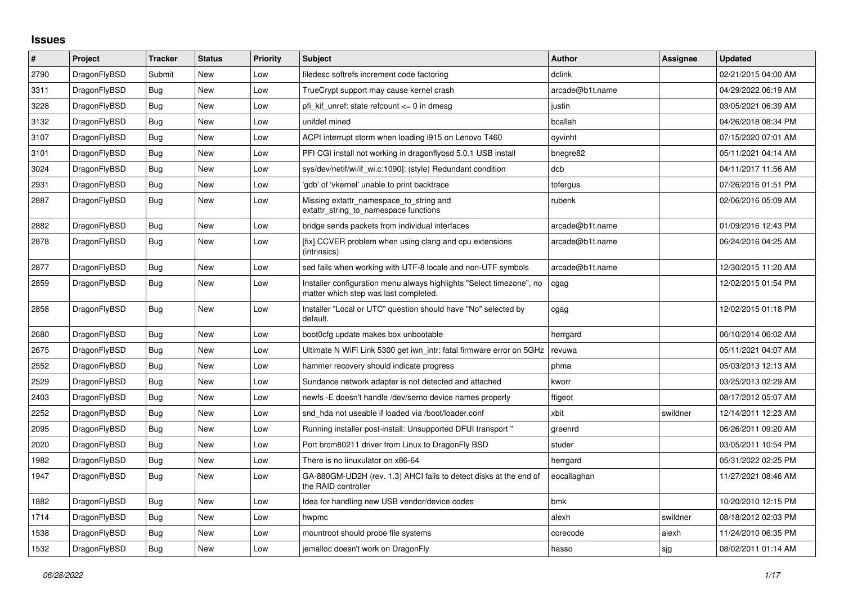## **Issues**

| #    | Project      | <b>Tracker</b> | <b>Status</b> | <b>Priority</b> | <b>Subject</b>                                                                                                | <b>Author</b>   | Assignee | <b>Updated</b>      |
|------|--------------|----------------|---------------|-----------------|---------------------------------------------------------------------------------------------------------------|-----------------|----------|---------------------|
| 2790 | DragonFlyBSD | Submit         | <b>New</b>    | Low             | filedesc softrefs increment code factoring                                                                    | dclink          |          | 02/21/2015 04:00 AM |
| 3311 | DragonFlyBSD | Bug            | <b>New</b>    | Low             | TrueCrypt support may cause kernel crash                                                                      | arcade@b1t.name |          | 04/29/2022 06:19 AM |
| 3228 | DragonFlyBSD | <b>Bug</b>     | New           | Low             | pfi kif unref: state refcount <= 0 in dmesg                                                                   | justin          |          | 03/05/2021 06:39 AM |
| 3132 | DragonFlyBSD | Bug            | <b>New</b>    | Low             | unifdef mined                                                                                                 | bcallah         |          | 04/26/2018 08:34 PM |
| 3107 | DragonFlyBSD | Bug            | New           | Low             | ACPI interrupt storm when loading i915 on Lenovo T460                                                         | oyvinht         |          | 07/15/2020 07:01 AM |
| 3101 | DragonFlyBSD | <b>Bug</b>     | New           | Low             | PFI CGI install not working in dragonflybsd 5.0.1 USB install                                                 | bnegre82        |          | 05/11/2021 04:14 AM |
| 3024 | DragonFlyBSD | <b>Bug</b>     | <b>New</b>    | Low             | sys/dev/netif/wi/if wi.c:1090]: (style) Redundant condition                                                   | dcb             |          | 04/11/2017 11:56 AM |
| 2931 | DragonFlyBSD | Bug            | New           | Low             | 'gdb' of 'vkernel' unable to print backtrace                                                                  | tofergus        |          | 07/26/2016 01:51 PM |
| 2887 | DragonFlyBSD | Bug            | New           | Low             | Missing extattr namespace to string and<br>extattr string to namespace functions                              | rubenk          |          | 02/06/2016 05:09 AM |
| 2882 | DragonFlyBSD | <b>Bug</b>     | <b>New</b>    | Low             | bridge sends packets from individual interfaces                                                               | arcade@b1t.name |          | 01/09/2016 12:43 PM |
| 2878 | DragonFlyBSD | <b>Bug</b>     | New           | Low             | [fix] CCVER problem when using clang and cpu extensions<br>(intrinsics)                                       | arcade@b1t.name |          | 06/24/2016 04:25 AM |
| 2877 | DragonFlyBSD | Bug            | New           | Low             | sed fails when working with UTF-8 locale and non-UTF symbols                                                  | arcade@b1t.name |          | 12/30/2015 11:20 AM |
| 2859 | DragonFlyBSD | Bug            | <b>New</b>    | Low             | Installer configuration menu always highlights "Select timezone", no<br>matter which step was last completed. | cgag            |          | 12/02/2015 01:54 PM |
| 2858 | DragonFlyBSD | Bug            | New           | Low             | Installer "Local or UTC" question should have "No" selected by<br>default.                                    | cgag            |          | 12/02/2015 01:18 PM |
| 2680 | DragonFlyBSD | Bug            | New           | Low             | boot0cfg update makes box unbootable                                                                          | herrgard        |          | 06/10/2014 06:02 AM |
| 2675 | DragonFlyBSD | Bug            | New           | Low             | Ultimate N WiFi Link 5300 get iwn_intr: fatal firmware error on 5GHz                                          | revuwa          |          | 05/11/2021 04:07 AM |
| 2552 | DragonFlyBSD | Bug            | New           | Low             | hammer recovery should indicate progress                                                                      | phma            |          | 05/03/2013 12:13 AM |
| 2529 | DragonFlyBSD | Bug            | New           | Low             | Sundance network adapter is not detected and attached                                                         | kworr           |          | 03/25/2013 02:29 AM |
| 2403 | DragonFlyBSD | Bug            | New           | Low             | newfs - E doesn't handle / dev/serno device names properly                                                    | ftigeot         |          | 08/17/2012 05:07 AM |
| 2252 | DragonFlyBSD | Bug            | <b>New</b>    | Low             | snd hda not useable if loaded via /boot/loader.conf                                                           | xbit            | swildner | 12/14/2011 12:23 AM |
| 2095 | DragonFlyBSD | Bug            | New           | Low             | Running installer post-install: Unsupported DFUI transport "                                                  | greenrd         |          | 06/26/2011 09:20 AM |
| 2020 | DragonFlyBSD | Bug            | <b>New</b>    | Low             | Port brcm80211 driver from Linux to DragonFly BSD                                                             | studer          |          | 03/05/2011 10:54 PM |
| 1982 | DragonFlyBSD | Bug            | New           | Low             | There is no linuxulator on x86-64                                                                             | herrgard        |          | 05/31/2022 02:25 PM |
| 1947 | DragonFlyBSD | Bug            | New           | Low             | GA-880GM-UD2H (rev. 1.3) AHCI fails to detect disks at the end of<br>the RAID controller                      | eocallaghan     |          | 11/27/2021 08:46 AM |
| 1882 | DragonFlyBSD | Bug            | <b>New</b>    | Low             | Idea for handling new USB vendor/device codes                                                                 | bmk             |          | 10/20/2010 12:15 PM |
| 1714 | DragonFlyBSD | Bug            | New           | Low             | hwpmc                                                                                                         | alexh           | swildner | 08/18/2012 02:03 PM |
| 1538 | DragonFlyBSD | Bug            | New           | Low             | mountroot should probe file systems                                                                           | corecode        | alexh    | 11/24/2010 06:35 PM |
| 1532 | DragonFlyBSD | Bug            | New           | Low             | jemalloc doesn't work on DragonFly                                                                            | hasso           | sig      | 08/02/2011 01:14 AM |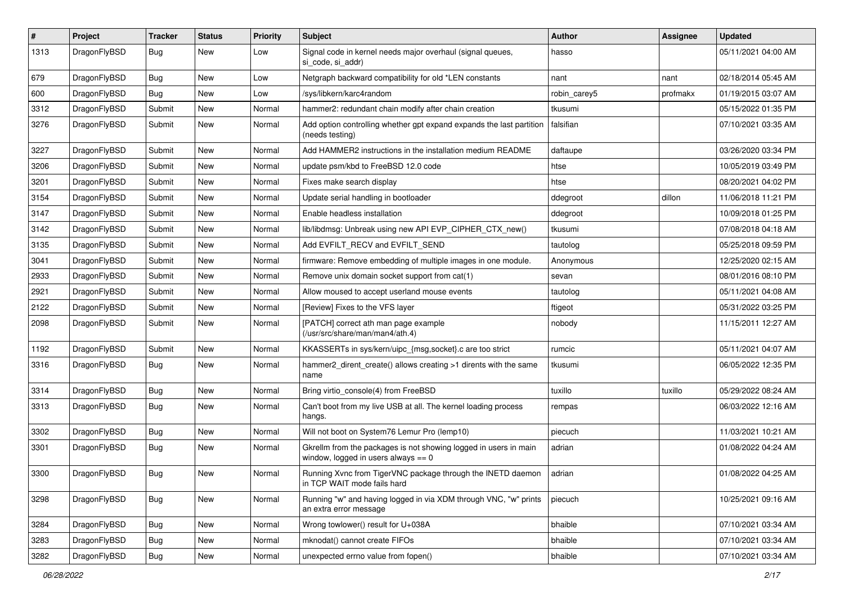| $\pmb{\#}$ | Project      | <b>Tracker</b> | <b>Status</b> | <b>Priority</b> | <b>Subject</b>                                                                                            | <b>Author</b> | <b>Assignee</b> | <b>Updated</b>      |
|------------|--------------|----------------|---------------|-----------------|-----------------------------------------------------------------------------------------------------------|---------------|-----------------|---------------------|
| 1313       | DragonFlyBSD | Bug            | New           | Low             | Signal code in kernel needs major overhaul (signal queues,<br>si code, si addr)                           | hasso         |                 | 05/11/2021 04:00 AM |
| 679        | DragonFlyBSD | <b>Bug</b>     | <b>New</b>    | Low             | Netgraph backward compatibility for old *LEN constants                                                    | nant          | nant            | 02/18/2014 05:45 AM |
| 600        | DragonFlyBSD | Bug            | <b>New</b>    | Low             | /sys/libkern/karc4random                                                                                  | robin_carey5  | profmakx        | 01/19/2015 03:07 AM |
| 3312       | DragonFlyBSD | Submit         | <b>New</b>    | Normal          | hammer2: redundant chain modify after chain creation                                                      | tkusumi       |                 | 05/15/2022 01:35 PM |
| 3276       | DragonFlyBSD | Submit         | New           | Normal          | Add option controlling whether gpt expand expands the last partition<br>(needs testing)                   | falsifian     |                 | 07/10/2021 03:35 AM |
| 3227       | DragonFlyBSD | Submit         | New           | Normal          | Add HAMMER2 instructions in the installation medium README                                                | daftaupe      |                 | 03/26/2020 03:34 PM |
| 3206       | DragonFlyBSD | Submit         | <b>New</b>    | Normal          | update psm/kbd to FreeBSD 12.0 code                                                                       | htse          |                 | 10/05/2019 03:49 PM |
| 3201       | DragonFlyBSD | Submit         | New           | Normal          | Fixes make search display                                                                                 | htse          |                 | 08/20/2021 04:02 PM |
| 3154       | DragonFlyBSD | Submit         | New           | Normal          | Update serial handling in bootloader                                                                      | ddegroot      | dillon          | 11/06/2018 11:21 PM |
| 3147       | DragonFlyBSD | Submit         | New           | Normal          | Enable headless installation                                                                              | ddegroot      |                 | 10/09/2018 01:25 PM |
| 3142       | DragonFlyBSD | Submit         | New           | Normal          | lib/libdmsg: Unbreak using new API EVP_CIPHER_CTX_new()                                                   | tkusumi       |                 | 07/08/2018 04:18 AM |
| 3135       | DragonFlyBSD | Submit         | New           | Normal          | Add EVFILT RECV and EVFILT SEND                                                                           | tautolog      |                 | 05/25/2018 09:59 PM |
| 3041       | DragonFlyBSD | Submit         | New           | Normal          | firmware: Remove embedding of multiple images in one module.                                              | Anonymous     |                 | 12/25/2020 02:15 AM |
| 2933       | DragonFlyBSD | Submit         | New           | Normal          | Remove unix domain socket support from cat(1)                                                             | sevan         |                 | 08/01/2016 08:10 PM |
| 2921       | DragonFlyBSD | Submit         | New           | Normal          | Allow moused to accept userland mouse events                                                              | tautolog      |                 | 05/11/2021 04:08 AM |
| 2122       | DragonFlyBSD | Submit         | <b>New</b>    | Normal          | [Review] Fixes to the VFS layer                                                                           | ftigeot       |                 | 05/31/2022 03:25 PM |
| 2098       | DragonFlyBSD | Submit         | New           | Normal          | [PATCH] correct ath man page example<br>(/usr/src/share/man/man4/ath.4)                                   | nobody        |                 | 11/15/2011 12:27 AM |
| 1192       | DragonFlyBSD | Submit         | New           | Normal          | KKASSERTs in sys/kern/uipc_{msg,socket}.c are too strict                                                  | rumcic        |                 | 05/11/2021 04:07 AM |
| 3316       | DragonFlyBSD | Bug            | New           | Normal          | hammer2_dirent_create() allows creating >1 dirents with the same<br>name                                  | tkusumi       |                 | 06/05/2022 12:35 PM |
| 3314       | DragonFlyBSD | <b>Bug</b>     | <b>New</b>    | Normal          | Bring virtio console(4) from FreeBSD                                                                      | tuxillo       | tuxillo         | 05/29/2022 08:24 AM |
| 3313       | DragonFlyBSD | Bug            | New           | Normal          | Can't boot from my live USB at all. The kernel loading process<br>hangs.                                  | rempas        |                 | 06/03/2022 12:16 AM |
| 3302       | DragonFlyBSD | <b>Bug</b>     | <b>New</b>    | Normal          | Will not boot on System76 Lemur Pro (lemp10)                                                              | piecuch       |                 | 11/03/2021 10:21 AM |
| 3301       | DragonFlyBSD | Bug            | <b>New</b>    | Normal          | Gkrellm from the packages is not showing logged in users in main<br>window, logged in users always $== 0$ | adrian        |                 | 01/08/2022 04:24 AM |
| 3300       | DragonFlyBSD | Bug            | <b>New</b>    | Normal          | Running Xvnc from TigerVNC package through the INETD daemon<br>in TCP WAIT mode fails hard                | adrian        |                 | 01/08/2022 04:25 AM |
| 3298       | DragonFlyBSD | Bug            | New           | Normal          | Running "w" and having logged in via XDM through VNC, "w" prints<br>an extra error message                | piecuch       |                 | 10/25/2021 09:16 AM |
| 3284       | DragonFlyBSD | Bug            | New           | Normal          | Wrong towlower() result for U+038A                                                                        | bhaible       |                 | 07/10/2021 03:34 AM |
| 3283       | DragonFlyBSD | Bug            | New           | Normal          | mknodat() cannot create FIFOs                                                                             | bhaible       |                 | 07/10/2021 03:34 AM |
| 3282       | DragonFlyBSD | <b>Bug</b>     | New           | Normal          | unexpected errno value from fopen()                                                                       | bhaible       |                 | 07/10/2021 03:34 AM |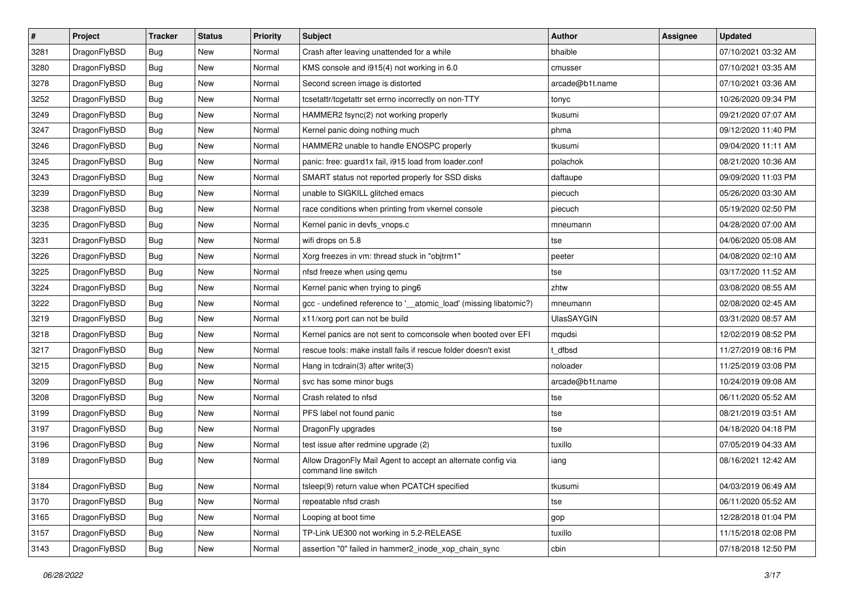| $\sharp$ | Project      | <b>Tracker</b> | <b>Status</b> | <b>Priority</b> | Subject                                                                             | <b>Author</b>     | Assignee | <b>Updated</b>      |
|----------|--------------|----------------|---------------|-----------------|-------------------------------------------------------------------------------------|-------------------|----------|---------------------|
| 3281     | DragonFlyBSD | Bug            | <b>New</b>    | Normal          | Crash after leaving unattended for a while                                          | bhaible           |          | 07/10/2021 03:32 AM |
| 3280     | DragonFlyBSD | Bug            | <b>New</b>    | Normal          | KMS console and i915(4) not working in 6.0                                          | cmusser           |          | 07/10/2021 03:35 AM |
| 3278     | DragonFlyBSD | <b>Bug</b>     | <b>New</b>    | Normal          | Second screen image is distorted                                                    | arcade@b1t.name   |          | 07/10/2021 03:36 AM |
| 3252     | DragonFlyBSD | Bug            | <b>New</b>    | Normal          | tcsetattr/tcgetattr set errno incorrectly on non-TTY                                | tonyc             |          | 10/26/2020 09:34 PM |
| 3249     | DragonFlyBSD | Bug            | <b>New</b>    | Normal          | HAMMER2 fsync(2) not working properly                                               | tkusumi           |          | 09/21/2020 07:07 AM |
| 3247     | DragonFlyBSD | Bug            | <b>New</b>    | Normal          | Kernel panic doing nothing much                                                     | phma              |          | 09/12/2020 11:40 PM |
| 3246     | DragonFlyBSD | Bug            | New           | Normal          | HAMMER2 unable to handle ENOSPC properly                                            | tkusumi           |          | 09/04/2020 11:11 AM |
| 3245     | DragonFlyBSD | Bug            | <b>New</b>    | Normal          | panic: free: guard1x fail, i915 load from loader.conf                               | polachok          |          | 08/21/2020 10:36 AM |
| 3243     | DragonFlyBSD | <b>Bug</b>     | <b>New</b>    | Normal          | SMART status not reported properly for SSD disks                                    | daftaupe          |          | 09/09/2020 11:03 PM |
| 3239     | DragonFlyBSD | Bug            | New           | Normal          | unable to SIGKILL glitched emacs                                                    | piecuch           |          | 05/26/2020 03:30 AM |
| 3238     | DragonFlyBSD | Bug            | New           | Normal          | race conditions when printing from vkernel console                                  | piecuch           |          | 05/19/2020 02:50 PM |
| 3235     | DragonFlyBSD | Bug            | <b>New</b>    | Normal          | Kernel panic in devfs_vnops.c                                                       | mneumann          |          | 04/28/2020 07:00 AM |
| 3231     | DragonFlyBSD | <b>Bug</b>     | New           | Normal          | wifi drops on 5.8                                                                   | tse               |          | 04/06/2020 05:08 AM |
| 3226     | DragonFlyBSD | <b>Bug</b>     | New           | Normal          | Xorg freezes in vm: thread stuck in "objtrm1"                                       | peeter            |          | 04/08/2020 02:10 AM |
| 3225     | DragonFlyBSD | Bug            | <b>New</b>    | Normal          | nfsd freeze when using qemu                                                         | tse               |          | 03/17/2020 11:52 AM |
| 3224     | DragonFlyBSD | <b>Bug</b>     | New           | Normal          | Kernel panic when trying to ping6                                                   | zhtw              |          | 03/08/2020 08:55 AM |
| 3222     | DragonFlyBSD | Bug            | <b>New</b>    | Normal          | gcc - undefined reference to '_atomic_load' (missing libatomic?)                    | mneumann          |          | 02/08/2020 02:45 AM |
| 3219     | DragonFlyBSD | <b>Bug</b>     | <b>New</b>    | Normal          | x11/xorg port can not be build                                                      | <b>UlasSAYGIN</b> |          | 03/31/2020 08:57 AM |
| 3218     | DragonFlyBSD | <b>Bug</b>     | <b>New</b>    | Normal          | Kernel panics are not sent to comconsole when booted over EFI                       | mqudsi            |          | 12/02/2019 08:52 PM |
| 3217     | DragonFlyBSD | Bug            | <b>New</b>    | Normal          | rescue tools: make install fails if rescue folder doesn't exist                     | t dfbsd           |          | 11/27/2019 08:16 PM |
| 3215     | DragonFlyBSD | <b>Bug</b>     | <b>New</b>    | Normal          | Hang in tcdrain(3) after write(3)                                                   | noloader          |          | 11/25/2019 03:08 PM |
| 3209     | DragonFlyBSD | <b>Bug</b>     | New           | Normal          | svc has some minor bugs                                                             | arcade@b1t.name   |          | 10/24/2019 09:08 AM |
| 3208     | DragonFlyBSD | Bug            | <b>New</b>    | Normal          | Crash related to nfsd                                                               | tse               |          | 06/11/2020 05:52 AM |
| 3199     | DragonFlyBSD | <b>Bug</b>     | New           | Normal          | PFS label not found panic                                                           | tse               |          | 08/21/2019 03:51 AM |
| 3197     | DragonFlyBSD | Bug            | New           | Normal          | DragonFly upgrades                                                                  | tse               |          | 04/18/2020 04:18 PM |
| 3196     | DragonFlyBSD | <b>Bug</b>     | <b>New</b>    | Normal          | test issue after redmine upgrade (2)                                                | tuxillo           |          | 07/05/2019 04:33 AM |
| 3189     | DragonFlyBSD | <b>Bug</b>     | New           | Normal          | Allow DragonFly Mail Agent to accept an alternate config via<br>command line switch | iang              |          | 08/16/2021 12:42 AM |
| 3184     | DragonFlyBSD | <b>Bug</b>     | New           | Normal          | tsleep(9) return value when PCATCH specified                                        | tkusumi           |          | 04/03/2019 06:49 AM |
| 3170     | DragonFlyBSD | <b>Bug</b>     | New           | Normal          | repeatable nfsd crash                                                               | tse               |          | 06/11/2020 05:52 AM |
| 3165     | DragonFlyBSD | <b>Bug</b>     | <b>New</b>    | Normal          | Looping at boot time                                                                | gop               |          | 12/28/2018 01:04 PM |
| 3157     | DragonFlyBSD | <b>Bug</b>     | New           | Normal          | TP-Link UE300 not working in 5.2-RELEASE                                            | tuxillo           |          | 11/15/2018 02:08 PM |
| 3143     | DragonFlyBSD | Bug            | New           | Normal          | assertion "0" failed in hammer2_inode_xop_chain_sync                                | cbin              |          | 07/18/2018 12:50 PM |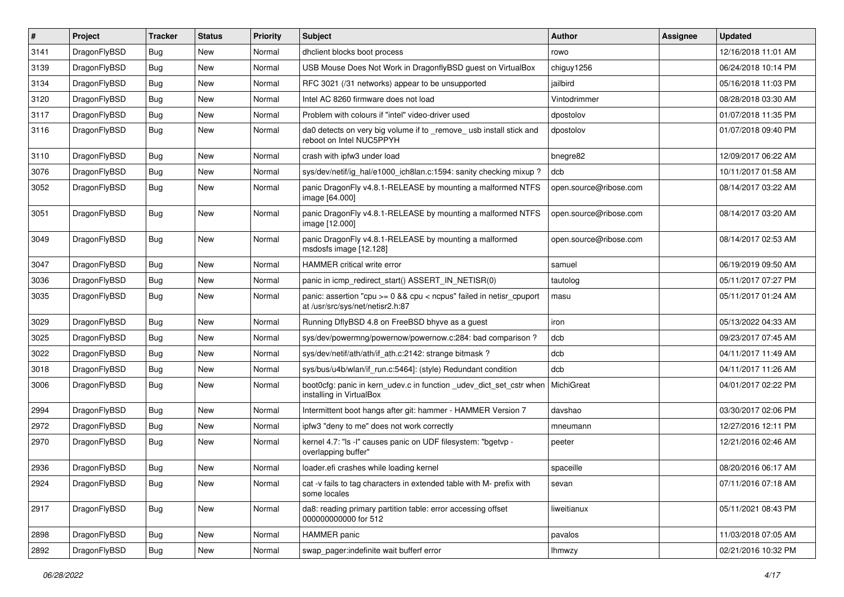| #    | Project      | <b>Tracker</b> | <b>Status</b> | <b>Priority</b> | <b>Subject</b>                                                                                          | Author                 | Assignee | <b>Updated</b>      |
|------|--------------|----------------|---------------|-----------------|---------------------------------------------------------------------------------------------------------|------------------------|----------|---------------------|
| 3141 | DragonFlyBSD | Bug            | <b>New</b>    | Normal          | dhclient blocks boot process                                                                            | rowo                   |          | 12/16/2018 11:01 AM |
| 3139 | DragonFlyBSD | <b>Bug</b>     | <b>New</b>    | Normal          | USB Mouse Does Not Work in DragonflyBSD guest on VirtualBox                                             | chiguy1256             |          | 06/24/2018 10:14 PM |
| 3134 | DragonFlyBSD | Bug            | New           | Normal          | RFC 3021 (/31 networks) appear to be unsupported                                                        | iailbird               |          | 05/16/2018 11:03 PM |
| 3120 | DragonFlyBSD | Bug            | <b>New</b>    | Normal          | Intel AC 8260 firmware does not load                                                                    | Vintodrimmer           |          | 08/28/2018 03:30 AM |
| 3117 | DragonFlyBSD | <b>Bug</b>     | <b>New</b>    | Normal          | Problem with colours if "intel" video-driver used                                                       | dpostolov              |          | 01/07/2018 11:35 PM |
| 3116 | DragonFlyBSD | Bug            | New           | Normal          | da0 detects on very big volume if to _remove_ usb install stick and<br>reboot on Intel NUC5PPYH         | dpostolov              |          | 01/07/2018 09:40 PM |
| 3110 | DragonFlyBSD | Bug            | <b>New</b>    | Normal          | crash with ipfw3 under load                                                                             | bnegre82               |          | 12/09/2017 06:22 AM |
| 3076 | DragonFlyBSD | Bug            | <b>New</b>    | Normal          | sys/dev/netif/ig_hal/e1000_ich8lan.c:1594: sanity checking mixup?                                       | dcb                    |          | 10/11/2017 01:58 AM |
| 3052 | DragonFlyBSD | Bug            | New           | Normal          | panic DragonFly v4.8.1-RELEASE by mounting a malformed NTFS<br>image [64.000]                           | open.source@ribose.com |          | 08/14/2017 03:22 AM |
| 3051 | DragonFlyBSD | Bug            | <b>New</b>    | Normal          | panic DragonFly v4.8.1-RELEASE by mounting a malformed NTFS<br>image [12.000]                           | open.source@ribose.com |          | 08/14/2017 03:20 AM |
| 3049 | DragonFlyBSD | Bug            | New           | Normal          | panic DragonFly v4.8.1-RELEASE by mounting a malformed<br>msdosfs image [12.128]                        | open.source@ribose.com |          | 08/14/2017 02:53 AM |
| 3047 | DragonFlyBSD | <b>Bug</b>     | <b>New</b>    | Normal          | HAMMER critical write error                                                                             | samuel                 |          | 06/19/2019 09:50 AM |
| 3036 | DragonFlyBSD | Bug            | <b>New</b>    | Normal          | panic in icmp_redirect_start() ASSERT_IN_NETISR(0)                                                      | tautolog               |          | 05/11/2017 07:27 PM |
| 3035 | DragonFlyBSD | Bug            | <b>New</b>    | Normal          | panic: assertion "cpu >= 0 && cpu < ncpus" failed in netisr_cpuport<br>at /usr/src/sys/net/netisr2.h:87 | masu                   |          | 05/11/2017 01:24 AM |
| 3029 | DragonFlyBSD | Bug            | New           | Normal          | Running DflyBSD 4.8 on FreeBSD bhyve as a guest                                                         | iron                   |          | 05/13/2022 04:33 AM |
| 3025 | DragonFlyBSD | Bug            | <b>New</b>    | Normal          | sys/dev/powermng/powernow/powernow.c:284: bad comparison?                                               | dcb                    |          | 09/23/2017 07:45 AM |
| 3022 | DragonFlyBSD | <b>Bug</b>     | New           | Normal          | sys/dev/netif/ath/ath/if ath.c:2142: strange bitmask?                                                   | dcb                    |          | 04/11/2017 11:49 AM |
| 3018 | DragonFlyBSD | Bug            | New           | Normal          | sys/bus/u4b/wlan/if_run.c:5464]: (style) Redundant condition                                            | dcb                    |          | 04/11/2017 11:26 AM |
| 3006 | DragonFlyBSD | Bug            | New           | Normal          | boot0cfg: panic in kern_udev.c in function _udev_dict_set_cstr when<br>installing in VirtualBox         | <b>MichiGreat</b>      |          | 04/01/2017 02:22 PM |
| 2994 | DragonFlyBSD | <b>Bug</b>     | <b>New</b>    | Normal          | Intermittent boot hangs after git: hammer - HAMMER Version 7                                            | davshao                |          | 03/30/2017 02:06 PM |
| 2972 | DragonFlyBSD | <b>Bug</b>     | <b>New</b>    | Normal          | ipfw3 "deny to me" does not work correctly                                                              | mneumann               |          | 12/27/2016 12:11 PM |
| 2970 | DragonFlyBSD | Bug            | New           | Normal          | kernel 4.7: "Is -I" causes panic on UDF filesystem: "bgetvp -<br>overlapping buffer"                    | peeter                 |          | 12/21/2016 02:46 AM |
| 2936 | DragonFlyBSD | Bug            | <b>New</b>    | Normal          | loader.efi crashes while loading kernel                                                                 | spaceille              |          | 08/20/2016 06:17 AM |
| 2924 | DragonFlyBSD | Bug            | New           | Normal          | cat -v fails to tag characters in extended table with M- prefix with<br>some locales                    | sevan                  |          | 07/11/2016 07:18 AM |
| 2917 | DragonFlyBSD | <b>Bug</b>     | New           | Normal          | da8: reading primary partition table: error accessing offset<br>000000000000 for 512                    | liweitianux            |          | 05/11/2021 08:43 PM |
| 2898 | DragonFlyBSD | Bug            | New           | Normal          | HAMMER panic                                                                                            | pavalos                |          | 11/03/2018 07:05 AM |
| 2892 | DragonFlyBSD | <b>Bug</b>     | New           | Normal          | swap_pager:indefinite wait bufferf error                                                                | <b>Ihmwzy</b>          |          | 02/21/2016 10:32 PM |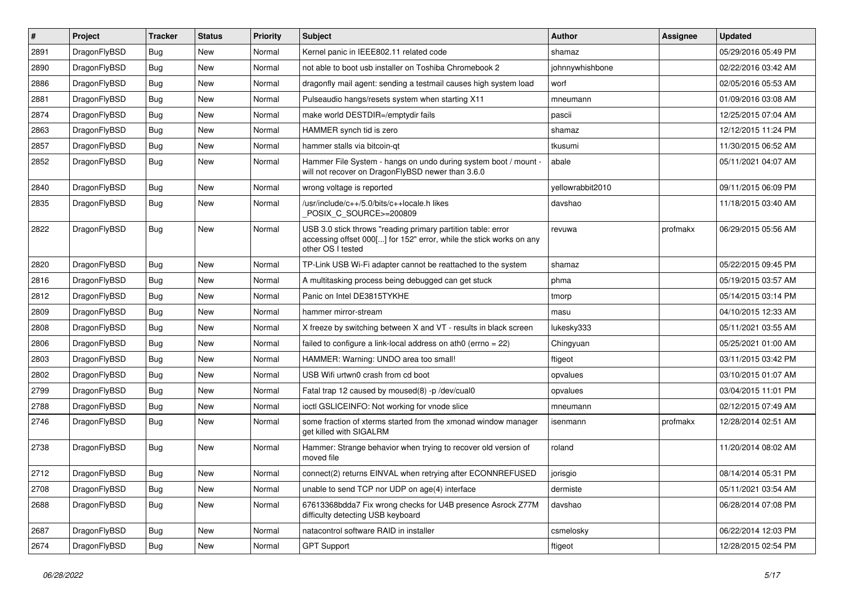| $\sharp$ | Project      | <b>Tracker</b> | <b>Status</b> | <b>Priority</b> | Subject                                                                                                                                                  | Author           | Assignee | <b>Updated</b>      |
|----------|--------------|----------------|---------------|-----------------|----------------------------------------------------------------------------------------------------------------------------------------------------------|------------------|----------|---------------------|
| 2891     | DragonFlyBSD | <b>Bug</b>     | <b>New</b>    | Normal          | Kernel panic in IEEE802.11 related code                                                                                                                  | shamaz           |          | 05/29/2016 05:49 PM |
| 2890     | DragonFlyBSD | <b>Bug</b>     | <b>New</b>    | Normal          | not able to boot usb installer on Toshiba Chromebook 2                                                                                                   | johnnywhishbone  |          | 02/22/2016 03:42 AM |
| 2886     | DragonFlyBSD | <b>Bug</b>     | New           | Normal          | dragonfly mail agent: sending a testmail causes high system load                                                                                         | worf             |          | 02/05/2016 05:53 AM |
| 2881     | DragonFlyBSD | <b>Bug</b>     | New           | Normal          | Pulseaudio hangs/resets system when starting X11                                                                                                         | mneumann         |          | 01/09/2016 03:08 AM |
| 2874     | DragonFlyBSD | <b>Bug</b>     | New           | Normal          | make world DESTDIR=/emptydir fails                                                                                                                       | pascii           |          | 12/25/2015 07:04 AM |
| 2863     | DragonFlyBSD | <b>Bug</b>     | <b>New</b>    | Normal          | HAMMER synch tid is zero                                                                                                                                 | shamaz           |          | 12/12/2015 11:24 PM |
| 2857     | DragonFlyBSD | Bug            | New           | Normal          | hammer stalls via bitcoin-qt                                                                                                                             | tkusumi          |          | 11/30/2015 06:52 AM |
| 2852     | DragonFlyBSD | <b>Bug</b>     | New           | Normal          | Hammer File System - hangs on undo during system boot / mount -<br>will not recover on DragonFlyBSD newer than 3.6.0                                     | abale            |          | 05/11/2021 04:07 AM |
| 2840     | DragonFlyBSD | Bug            | <b>New</b>    | Normal          | wrong voltage is reported                                                                                                                                | yellowrabbit2010 |          | 09/11/2015 06:09 PM |
| 2835     | DragonFlyBSD | <b>Bug</b>     | New           | Normal          | /usr/include/c++/5.0/bits/c++locale.h likes<br>POSIX_C_SOURCE>=200809                                                                                    | davshao          |          | 11/18/2015 03:40 AM |
| 2822     | DragonFlyBSD | Bug            | <b>New</b>    | Normal          | USB 3.0 stick throws "reading primary partition table: error<br>accessing offset 000[] for 152" error, while the stick works on any<br>other OS I tested | revuwa           | profmakx | 06/29/2015 05:56 AM |
| 2820     | DragonFlyBSD | Bug            | <b>New</b>    | Normal          | TP-Link USB Wi-Fi adapter cannot be reattached to the system                                                                                             | shamaz           |          | 05/22/2015 09:45 PM |
| 2816     | DragonFlyBSD | <b>Bug</b>     | New           | Normal          | A multitasking process being debugged can get stuck                                                                                                      | phma             |          | 05/19/2015 03:57 AM |
| 2812     | DragonFlyBSD | Bug            | <b>New</b>    | Normal          | Panic on Intel DE3815TYKHE                                                                                                                               | tmorp            |          | 05/14/2015 03:14 PM |
| 2809     | DragonFlyBSD | <b>Bug</b>     | New           | Normal          | hammer mirror-stream                                                                                                                                     | masu             |          | 04/10/2015 12:33 AM |
| 2808     | DragonFlyBSD | <b>Bug</b>     | New           | Normal          | X freeze by switching between X and VT - results in black screen                                                                                         | lukesky333       |          | 05/11/2021 03:55 AM |
| 2806     | DragonFlyBSD | <b>Bug</b>     | New           | Normal          | failed to configure a link-local address on ath0 (errno = 22)                                                                                            | Chingyuan        |          | 05/25/2021 01:00 AM |
| 2803     | DragonFlyBSD | <b>Bug</b>     | New           | Normal          | HAMMER: Warning: UNDO area too small!                                                                                                                    | ftigeot          |          | 03/11/2015 03:42 PM |
| 2802     | DragonFlyBSD | Bug            | New           | Normal          | USB Wifi urtwn0 crash from cd boot                                                                                                                       | opvalues         |          | 03/10/2015 01:07 AM |
| 2799     | DragonFlyBSD | <b>Bug</b>     | <b>New</b>    | Normal          | Fatal trap 12 caused by moused(8) -p/dev/cual0                                                                                                           | opvalues         |          | 03/04/2015 11:01 PM |
| 2788     | DragonFlyBSD | <b>Bug</b>     | New           | Normal          | ioctl GSLICEINFO: Not working for vnode slice                                                                                                            | mneumann         |          | 02/12/2015 07:49 AM |
| 2746     | DragonFlyBSD | Bug            | New           | Normal          | some fraction of xterms started from the xmonad window manager<br>get killed with SIGALRM                                                                | isenmann         | profmakx | 12/28/2014 02:51 AM |
| 2738     | DragonFlyBSD | Bug            | <b>New</b>    | Normal          | Hammer: Strange behavior when trying to recover old version of<br>moved file                                                                             | roland           |          | 11/20/2014 08:02 AM |
| 2712     | DragonFlyBSD | Bug            | <b>New</b>    | Normal          | connect(2) returns EINVAL when retrying after ECONNREFUSED                                                                                               | jorisgio         |          | 08/14/2014 05:31 PM |
| 2708     | DragonFlyBSD | <b>Bug</b>     | New           | Normal          | unable to send TCP nor UDP on age(4) interface                                                                                                           | dermiste         |          | 05/11/2021 03:54 AM |
| 2688     | DragonFlyBSD | <b>Bug</b>     | New           | Normal          | 67613368bdda7 Fix wrong checks for U4B presence Asrock Z77M<br>difficulty detecting USB keyboard                                                         | davshao          |          | 06/28/2014 07:08 PM |
| 2687     | DragonFlyBSD | <b>Bug</b>     | <b>New</b>    | Normal          | natacontrol software RAID in installer                                                                                                                   | csmelosky        |          | 06/22/2014 12:03 PM |
| 2674     | DragonFlyBSD | <b>Bug</b>     | New           | Normal          | <b>GPT Support</b>                                                                                                                                       | ftigeot          |          | 12/28/2015 02:54 PM |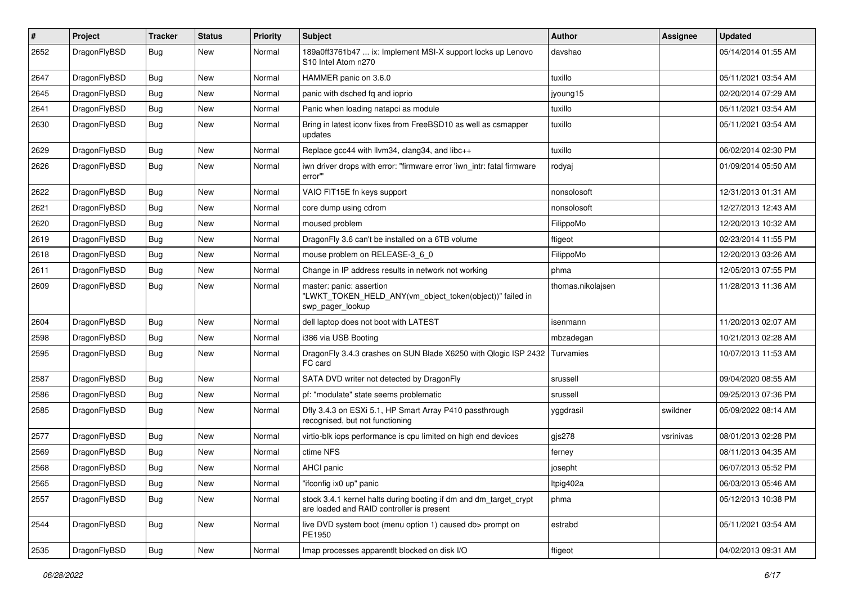| #    | Project      | <b>Tracker</b> | <b>Status</b> | <b>Priority</b> | Subject                                                                                                        | <b>Author</b>     | Assignee  | <b>Updated</b>      |
|------|--------------|----------------|---------------|-----------------|----------------------------------------------------------------------------------------------------------------|-------------------|-----------|---------------------|
| 2652 | DragonFlyBSD | Bug            | New           | Normal          | 189a0ff3761b47  ix: Implement MSI-X support locks up Lenovo<br>S <sub>10</sub> Intel Atom n <sub>270</sub>     | davshao           |           | 05/14/2014 01:55 AM |
| 2647 | DragonFlyBSD | Bug            | New           | Normal          | HAMMER panic on 3.6.0                                                                                          | tuxillo           |           | 05/11/2021 03:54 AM |
| 2645 | DragonFlyBSD | Bug            | <b>New</b>    | Normal          | panic with dsched fq and ioprio                                                                                | jyoung15          |           | 02/20/2014 07:29 AM |
| 2641 | DragonFlyBSD | Bug            | New           | Normal          | Panic when loading natapci as module                                                                           | tuxillo           |           | 05/11/2021 03:54 AM |
| 2630 | DragonFlyBSD | Bug            | <b>New</b>    | Normal          | Bring in latest iconv fixes from FreeBSD10 as well as csmapper<br>updates                                      | tuxillo           |           | 05/11/2021 03:54 AM |
| 2629 | DragonFlyBSD | Bug            | <b>New</b>    | Normal          | Replace gcc44 with llvm34, clang34, and libc++                                                                 | tuxillo           |           | 06/02/2014 02:30 PM |
| 2626 | DragonFlyBSD | Bug            | New           | Normal          | iwn driver drops with error: "firmware error 'iwn_intr: fatal firmware<br>error"                               | rodyaj            |           | 01/09/2014 05:50 AM |
| 2622 | DragonFlyBSD | <b>Bug</b>     | New           | Normal          | VAIO FIT15E fn keys support                                                                                    | nonsolosoft       |           | 12/31/2013 01:31 AM |
| 2621 | DragonFlyBSD | Bug            | <b>New</b>    | Normal          | core dump using cdrom                                                                                          | nonsolosoft       |           | 12/27/2013 12:43 AM |
| 2620 | DragonFlyBSD | Bug            | <b>New</b>    | Normal          | moused problem                                                                                                 | FilippoMo         |           | 12/20/2013 10:32 AM |
| 2619 | DragonFlyBSD | Bug            | <b>New</b>    | Normal          | DragonFly 3.6 can't be installed on a 6TB volume                                                               | ftigeot           |           | 02/23/2014 11:55 PM |
| 2618 | DragonFlyBSD | Bug            | New           | Normal          | mouse problem on RELEASE-3_6_0                                                                                 | FilippoMo         |           | 12/20/2013 03:26 AM |
| 2611 | DragonFlyBSD | <b>Bug</b>     | <b>New</b>    | Normal          | Change in IP address results in network not working                                                            | phma              |           | 12/05/2013 07:55 PM |
| 2609 | DragonFlyBSD | <b>Bug</b>     | New           | Normal          | master: panic: assertion<br>"LWKT_TOKEN_HELD_ANY(vm_object_token(object))" failed in<br>swp_pager_lookup       | thomas.nikolajsen |           | 11/28/2013 11:36 AM |
| 2604 | DragonFlyBSD | Bug            | <b>New</b>    | Normal          | dell laptop does not boot with LATEST                                                                          | isenmann          |           | 11/20/2013 02:07 AM |
| 2598 | DragonFlyBSD | Bug            | <b>New</b>    | Normal          | i386 via USB Booting                                                                                           | mbzadegan         |           | 10/21/2013 02:28 AM |
| 2595 | DragonFlyBSD | <b>Bug</b>     | New           | Normal          | DragonFly 3.4.3 crashes on SUN Blade X6250 with Qlogic ISP 2432<br>FC card                                     | Turvamies         |           | 10/07/2013 11:53 AM |
| 2587 | DragonFlyBSD | Bug            | <b>New</b>    | Normal          | SATA DVD writer not detected by DragonFly                                                                      | srussell          |           | 09/04/2020 08:55 AM |
| 2586 | DragonFlyBSD | <b>Bug</b>     | New           | Normal          | pf: "modulate" state seems problematic                                                                         | srussell          |           | 09/25/2013 07:36 PM |
| 2585 | DragonFlyBSD | Bug            | New           | Normal          | Dfly 3.4.3 on ESXi 5.1, HP Smart Array P410 passthrough<br>recognised, but not functioning                     | yggdrasil         | swildner  | 05/09/2022 08:14 AM |
| 2577 | DragonFlyBSD | Bug            | <b>New</b>    | Normal          | virtio-blk iops performance is cpu limited on high end devices                                                 | gjs278            | vsrinivas | 08/01/2013 02:28 PM |
| 2569 | DragonFlyBSD | Bug            | New           | Normal          | ctime NFS                                                                                                      | ferney            |           | 08/11/2013 04:35 AM |
| 2568 | DragonFlyBSD | Bug            | <b>New</b>    | Normal          | AHCI panic                                                                                                     | josepht           |           | 06/07/2013 05:52 PM |
| 2565 | DragonFlyBSD | <b>Bug</b>     | New           | Normal          | "ifconfig ix0 up" panic                                                                                        | ltpig402a         |           | 06/03/2013 05:46 AM |
| 2557 | DragonFlyBSD | <b>Bug</b>     | New           | Normal          | stock 3.4.1 kernel halts during booting if dm and dm_target_crypt<br>are loaded and RAID controller is present | phma              |           | 05/12/2013 10:38 PM |
| 2544 | DragonFlyBSD | <b>Bug</b>     | New           | Normal          | live DVD system boot (menu option 1) caused db> prompt on<br>PE1950                                            | estrabd           |           | 05/11/2021 03:54 AM |
| 2535 | DragonFlyBSD | Bug            | New           | Normal          | Imap processes apparentlt blocked on disk I/O                                                                  | ftigeot           |           | 04/02/2013 09:31 AM |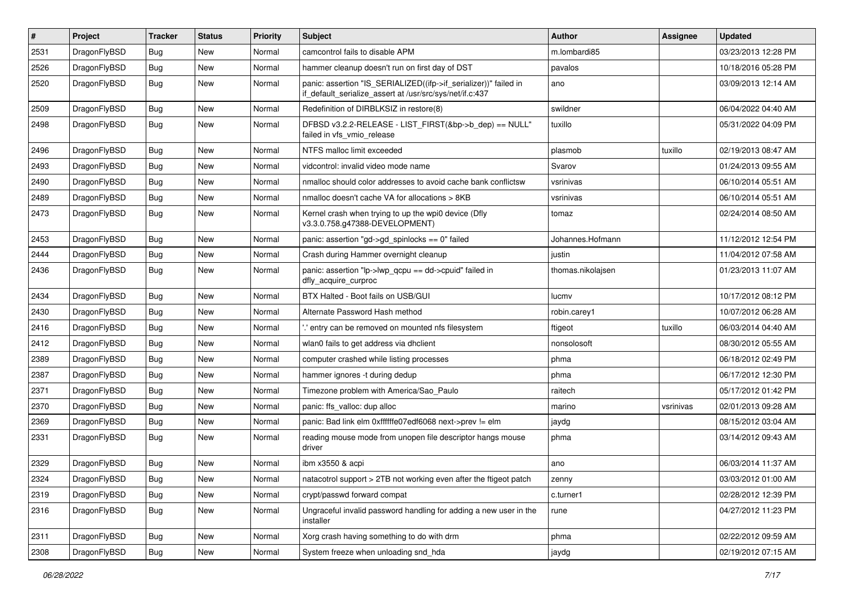| $\sharp$ | Project      | <b>Tracker</b> | <b>Status</b> | <b>Priority</b> | Subject                                                                                                                      | <b>Author</b>     | Assignee  | <b>Updated</b>      |
|----------|--------------|----------------|---------------|-----------------|------------------------------------------------------------------------------------------------------------------------------|-------------------|-----------|---------------------|
| 2531     | DragonFlyBSD | <b>Bug</b>     | <b>New</b>    | Normal          | camcontrol fails to disable APM                                                                                              | m.lombardi85      |           | 03/23/2013 12:28 PM |
| 2526     | DragonFlyBSD | Bug            | <b>New</b>    | Normal          | hammer cleanup doesn't run on first day of DST                                                                               | pavalos           |           | 10/18/2016 05:28 PM |
| 2520     | DragonFlyBSD | Bug            | <b>New</b>    | Normal          | panic: assertion "IS_SERIALIZED((ifp->if_serializer))" failed in<br>if_default_serialize_assert at /usr/src/sys/net/if.c:437 | ano               |           | 03/09/2013 12:14 AM |
| 2509     | DragonFlyBSD | Bug            | New           | Normal          | Redefinition of DIRBLKSIZ in restore(8)                                                                                      | swildner          |           | 06/04/2022 04:40 AM |
| 2498     | DragonFlyBSD | Bug            | <b>New</b>    | Normal          | DFBSD v3.2.2-RELEASE - LIST_FIRST(&bp->b_dep) == NULL"<br>failed in vfs_vmio_release                                         | tuxillo           |           | 05/31/2022 04:09 PM |
| 2496     | DragonFlyBSD | Bug            | <b>New</b>    | Normal          | NTFS malloc limit exceeded                                                                                                   | plasmob           | tuxillo   | 02/19/2013 08:47 AM |
| 2493     | DragonFlyBSD | <b>Bug</b>     | New           | Normal          | vidcontrol: invalid video mode name                                                                                          | Svarov            |           | 01/24/2013 09:55 AM |
| 2490     | DragonFlyBSD | <b>Bug</b>     | <b>New</b>    | Normal          | nmalloc should color addresses to avoid cache bank conflictsw                                                                | vsrinivas         |           | 06/10/2014 05:51 AM |
| 2489     | DragonFlyBSD | <b>Bug</b>     | New           | Normal          | nmalloc doesn't cache VA for allocations > 8KB                                                                               | vsrinivas         |           | 06/10/2014 05:51 AM |
| 2473     | DragonFlyBSD | <b>Bug</b>     | <b>New</b>    | Normal          | Kernel crash when trying to up the wpi0 device (Dfly<br>v3.3.0.758.g47388-DEVELOPMENT)                                       | tomaz             |           | 02/24/2014 08:50 AM |
| 2453     | DragonFlyBSD | <b>Bug</b>     | <b>New</b>    | Normal          | panic: assertion "gd->gd_spinlocks == 0" failed                                                                              | Johannes.Hofmann  |           | 11/12/2012 12:54 PM |
| 2444     | DragonFlyBSD | <b>Bug</b>     | New           | Normal          | Crash during Hammer overnight cleanup                                                                                        | justin            |           | 11/04/2012 07:58 AM |
| 2436     | DragonFlyBSD | <b>Bug</b>     | <b>New</b>    | Normal          | panic: assertion "lp->lwp_qcpu == dd->cpuid" failed in<br>dfly_acquire_curproc                                               | thomas.nikolajsen |           | 01/23/2013 11:07 AM |
| 2434     | DragonFlyBSD | <b>Bug</b>     | <b>New</b>    | Normal          | BTX Halted - Boot fails on USB/GUI                                                                                           | lucmv             |           | 10/17/2012 08:12 PM |
| 2430     | DragonFlyBSD | <b>Bug</b>     | New           | Normal          | Alternate Password Hash method                                                                                               | robin.carey1      |           | 10/07/2012 06:28 AM |
| 2416     | DragonFlyBSD | <b>Bug</b>     | New           | Normal          | ".' entry can be removed on mounted nfs filesystem                                                                           | ftigeot           | tuxillo   | 06/03/2014 04:40 AM |
| 2412     | DragonFlyBSD | <b>Bug</b>     | New           | Normal          | wlan0 fails to get address via dhclient                                                                                      | nonsolosoft       |           | 08/30/2012 05:55 AM |
| 2389     | DragonFlyBSD | <b>Bug</b>     | <b>New</b>    | Normal          | computer crashed while listing processes                                                                                     | phma              |           | 06/18/2012 02:49 PM |
| 2387     | DragonFlyBSD | <b>Bug</b>     | New           | Normal          | hammer ignores -t during dedup                                                                                               | phma              |           | 06/17/2012 12:30 PM |
| 2371     | DragonFlyBSD | <b>Bug</b>     | <b>New</b>    | Normal          | Timezone problem with America/Sao_Paulo                                                                                      | raitech           |           | 05/17/2012 01:42 PM |
| 2370     | DragonFlyBSD | <b>Bug</b>     | New           | Normal          | panic: ffs_valloc: dup alloc                                                                                                 | marino            | vsrinivas | 02/01/2013 09:28 AM |
| 2369     | DragonFlyBSD | <b>Bug</b>     | New           | Normal          | panic: Bad link elm 0xffffffe07edf6068 next->prev != elm                                                                     | jaydg             |           | 08/15/2012 03:04 AM |
| 2331     | DragonFlyBSD | <b>Bug</b>     | New           | Normal          | reading mouse mode from unopen file descriptor hangs mouse<br>driver                                                         | phma              |           | 03/14/2012 09:43 AM |
| 2329     | DragonFlyBSD | <b>Bug</b>     | New           | Normal          | ibm x3550 & acpi                                                                                                             | ano               |           | 06/03/2014 11:37 AM |
| 2324     | DragonFlyBSD | <b>Bug</b>     | New           | Normal          | natacotrol support > 2TB not working even after the ftigeot patch                                                            | zenny             |           | 03/03/2012 01:00 AM |
| 2319     | DragonFlyBSD | <b>Bug</b>     | New           | Normal          | crypt/passwd forward compat                                                                                                  | c.turner1         |           | 02/28/2012 12:39 PM |
| 2316     | DragonFlyBSD | <b>Bug</b>     | New           | Normal          | Ungraceful invalid password handling for adding a new user in the<br>installer                                               | rune              |           | 04/27/2012 11:23 PM |
| 2311     | DragonFlyBSD | <b>Bug</b>     | New           | Normal          | Xorg crash having something to do with drm                                                                                   | phma              |           | 02/22/2012 09:59 AM |
| 2308     | DragonFlyBSD | <b>Bug</b>     | New           | Normal          | System freeze when unloading snd hda                                                                                         | jaydg             |           | 02/19/2012 07:15 AM |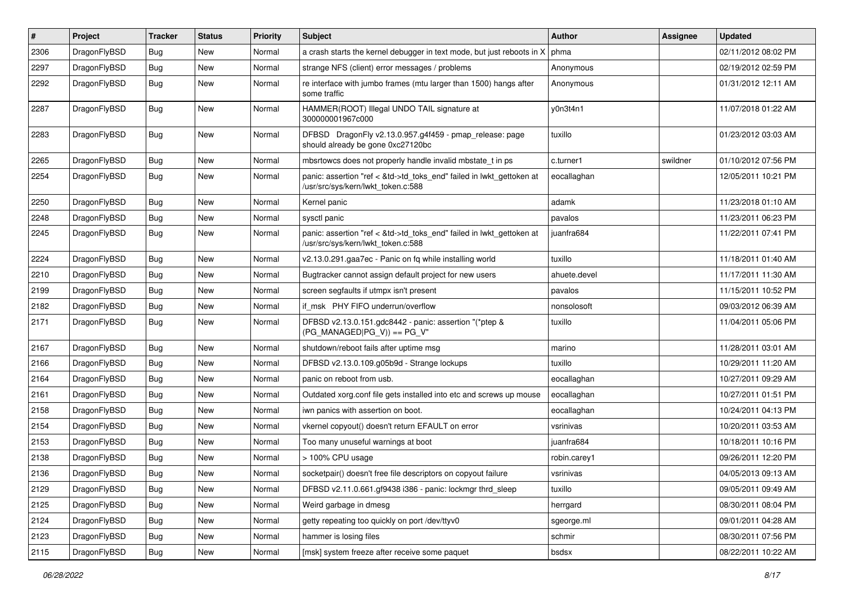| $\pmb{\#}$ | Project      | <b>Tracker</b> | <b>Status</b> | <b>Priority</b> | Subject                                                                                                    | Author       | Assignee | <b>Updated</b>      |
|------------|--------------|----------------|---------------|-----------------|------------------------------------------------------------------------------------------------------------|--------------|----------|---------------------|
| 2306       | DragonFlyBSD | Bug            | New           | Normal          | a crash starts the kernel debugger in text mode, but just reboots in $X \mid p$ hma                        |              |          | 02/11/2012 08:02 PM |
| 2297       | DragonFlyBSD | Bug            | <b>New</b>    | Normal          | strange NFS (client) error messages / problems                                                             | Anonymous    |          | 02/19/2012 02:59 PM |
| 2292       | DragonFlyBSD | Bug            | <b>New</b>    | Normal          | re interface with jumbo frames (mtu larger than 1500) hangs after<br>some traffic                          | Anonymous    |          | 01/31/2012 12:11 AM |
| 2287       | DragonFlyBSD | Bug            | <b>New</b>    | Normal          | HAMMER(ROOT) Illegal UNDO TAIL signature at<br>300000001967c000                                            | y0n3t4n1     |          | 11/07/2018 01:22 AM |
| 2283       | DragonFlyBSD | Bug            | New           | Normal          | DFBSD DragonFly v2.13.0.957.g4f459 - pmap_release: page<br>should already be gone 0xc27120bc               | tuxillo      |          | 01/23/2012 03:03 AM |
| 2265       | DragonFlyBSD | Bug            | <b>New</b>    | Normal          | mbsrtowcs does not properly handle invalid mbstate t in ps                                                 | c.turner1    | swildner | 01/10/2012 07:56 PM |
| 2254       | DragonFlyBSD | Bug            | New           | Normal          | panic: assertion "ref < &td->td_toks_end" failed in lwkt_gettoken at<br>/usr/src/sys/kern/lwkt_token.c:588 | eocallaghan  |          | 12/05/2011 10:21 PM |
| 2250       | DragonFlyBSD | Bug            | <b>New</b>    | Normal          | Kernel panic                                                                                               | adamk        |          | 11/23/2018 01:10 AM |
| 2248       | DragonFlyBSD | Bug            | New           | Normal          | sysctl panic                                                                                               | pavalos      |          | 11/23/2011 06:23 PM |
| 2245       | DragonFlyBSD | Bug            | New           | Normal          | panic: assertion "ref < &td->td_toks_end" failed in lwkt_gettoken at<br>/usr/src/sys/kern/lwkt_token.c:588 | iuanfra684   |          | 11/22/2011 07:41 PM |
| 2224       | DragonFlyBSD | <b>Bug</b>     | New           | Normal          | v2.13.0.291.gaa7ec - Panic on fq while installing world                                                    | tuxillo      |          | 11/18/2011 01:40 AM |
| 2210       | DragonFlyBSD | Bug            | <b>New</b>    | Normal          | Bugtracker cannot assign default project for new users                                                     | ahuete.devel |          | 11/17/2011 11:30 AM |
| 2199       | DragonFlyBSD | Bug            | New           | Normal          | screen segfaults if utmpx isn't present                                                                    | pavalos      |          | 11/15/2011 10:52 PM |
| 2182       | DragonFlyBSD | <b>Bug</b>     | New           | Normal          | if msk PHY FIFO underrun/overflow                                                                          | nonsolosoft  |          | 09/03/2012 06:39 AM |
| 2171       | DragonFlyBSD | Bug            | New           | Normal          | DFBSD v2.13.0.151.gdc8442 - panic: assertion "(*ptep &<br>$(PG_MANAGED PG_V)) == PG_V"$                    | tuxillo      |          | 11/04/2011 05:06 PM |
| 2167       | DragonFlyBSD | <b>Bug</b>     | <b>New</b>    | Normal          | shutdown/reboot fails after uptime msg                                                                     | marino       |          | 11/28/2011 03:01 AM |
| 2166       | DragonFlyBSD | Bug            | <b>New</b>    | Normal          | DFBSD v2.13.0.109.g05b9d - Strange lockups                                                                 | tuxillo      |          | 10/29/2011 11:20 AM |
| 2164       | DragonFlyBSD | <b>Bug</b>     | <b>New</b>    | Normal          | panic on reboot from usb.                                                                                  | eocallaghan  |          | 10/27/2011 09:29 AM |
| 2161       | DragonFlyBSD | <b>Bug</b>     | New           | Normal          | Outdated xorg.conf file gets installed into etc and screws up mouse                                        | eocallaghan  |          | 10/27/2011 01:51 PM |
| 2158       | DragonFlyBSD | Bug            | New           | Normal          | iwn panics with assertion on boot.                                                                         | eocallaghan  |          | 10/24/2011 04:13 PM |
| 2154       | DragonFlyBSD | Bug            | <b>New</b>    | Normal          | vkernel copyout() doesn't return EFAULT on error                                                           | vsrinivas    |          | 10/20/2011 03:53 AM |
| 2153       | DragonFlyBSD | Bug            | New           | Normal          | Too many unuseful warnings at boot                                                                         | iuanfra684   |          | 10/18/2011 10:16 PM |
| 2138       | DragonFlyBSD | <b>Bug</b>     | New           | Normal          | > 100% CPU usage                                                                                           | robin.carey1 |          | 09/26/2011 12:20 PM |
| 2136       | DragonFlyBSD | Bug            | New           | Normal          | socketpair() doesn't free file descriptors on copyout failure                                              | vsrinivas    |          | 04/05/2013 09:13 AM |
| 2129       | DragonFlyBSD | Bug            | <b>New</b>    | Normal          | DFBSD v2.11.0.661.gf9438 i386 - panic: lockmgr thrd_sleep                                                  | tuxillo      |          | 09/05/2011 09:49 AM |
| 2125       | DragonFlyBSD | Bug            | New           | Normal          | Weird garbage in dmesg                                                                                     | herrgard     |          | 08/30/2011 08:04 PM |
| 2124       | DragonFlyBSD | <b>Bug</b>     | New           | Normal          | getty repeating too quickly on port /dev/ttyv0                                                             | sgeorge.ml   |          | 09/01/2011 04:28 AM |
| 2123       | DragonFlyBSD | Bug            | New           | Normal          | hammer is losing files                                                                                     | schmir       |          | 08/30/2011 07:56 PM |
| 2115       | DragonFlyBSD | <b>Bug</b>     | New           | Normal          | [msk] system freeze after receive some paquet                                                              | bsdsx        |          | 08/22/2011 10:22 AM |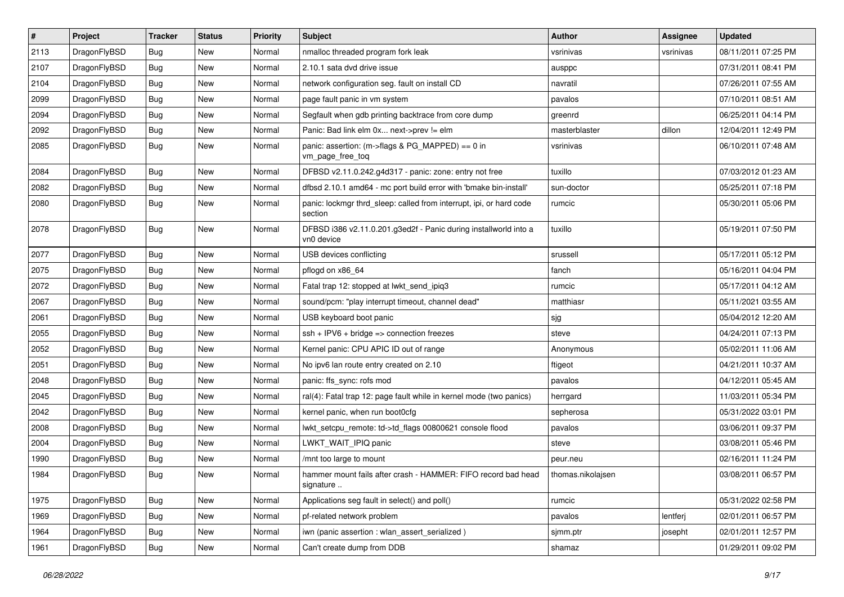| $\vert$ # | Project      | <b>Tracker</b> | <b>Status</b> | <b>Priority</b> | <b>Subject</b>                                                                 | Author            | <b>Assignee</b> | <b>Updated</b>      |
|-----------|--------------|----------------|---------------|-----------------|--------------------------------------------------------------------------------|-------------------|-----------------|---------------------|
| 2113      | DragonFlyBSD | Bug            | <b>New</b>    | Normal          | nmalloc threaded program fork leak                                             | vsrinivas         | vsrinivas       | 08/11/2011 07:25 PM |
| 2107      | DragonFlyBSD | <b>Bug</b>     | <b>New</b>    | Normal          | 2.10.1 sata dvd drive issue                                                    | ausppc            |                 | 07/31/2011 08:41 PM |
| 2104      | DragonFlyBSD | <b>Bug</b>     | <b>New</b>    | Normal          | network configuration seg. fault on install CD                                 | navratil          |                 | 07/26/2011 07:55 AM |
| 2099      | DragonFlyBSD | Bug            | <b>New</b>    | Normal          | page fault panic in vm system                                                  | pavalos           |                 | 07/10/2011 08:51 AM |
| 2094      | DragonFlyBSD | <b>Bug</b>     | <b>New</b>    | Normal          | Segfault when gdb printing backtrace from core dump                            | greenrd           |                 | 06/25/2011 04:14 PM |
| 2092      | DragonFlyBSD | <b>Bug</b>     | New           | Normal          | Panic: Bad link elm 0x next->prev != elm                                       | masterblaster     | dillon          | 12/04/2011 12:49 PM |
| 2085      | DragonFlyBSD | Bug            | <b>New</b>    | Normal          | panic: assertion: (m->flags & PG_MAPPED) == 0 in<br>vm_page_free_toq           | vsrinivas         |                 | 06/10/2011 07:48 AM |
| 2084      | DragonFlyBSD | Bug            | <b>New</b>    | Normal          | DFBSD v2.11.0.242.g4d317 - panic: zone: entry not free                         | tuxillo           |                 | 07/03/2012 01:23 AM |
| 2082      | DragonFlyBSD | <b>Bug</b>     | <b>New</b>    | Normal          | dfbsd 2.10.1 amd64 - mc port build error with 'bmake bin-install'              | sun-doctor        |                 | 05/25/2011 07:18 PM |
| 2080      | DragonFlyBSD | <b>Bug</b>     | <b>New</b>    | Normal          | panic: lockmgr thrd_sleep: called from interrupt, ipi, or hard code<br>section | rumcic            |                 | 05/30/2011 05:06 PM |
| 2078      | DragonFlyBSD | <b>Bug</b>     | <b>New</b>    | Normal          | DFBSD i386 v2.11.0.201.g3ed2f - Panic during installworld into a<br>vn0 device | tuxillo           |                 | 05/19/2011 07:50 PM |
| 2077      | DragonFlyBSD | Bug            | <b>New</b>    | Normal          | USB devices conflicting                                                        | srussell          |                 | 05/17/2011 05:12 PM |
| 2075      | DragonFlyBSD | <b>Bug</b>     | New           | Normal          | pflogd on x86 64                                                               | fanch             |                 | 05/16/2011 04:04 PM |
| 2072      | DragonFlyBSD | Bug            | <b>New</b>    | Normal          | Fatal trap 12: stopped at lwkt_send_ipiq3                                      | rumcic            |                 | 05/17/2011 04:12 AM |
| 2067      | DragonFlyBSD | <b>Bug</b>     | <b>New</b>    | Normal          | sound/pcm: "play interrupt timeout, channel dead"                              | matthiasr         |                 | 05/11/2021 03:55 AM |
| 2061      | DragonFlyBSD | Bug            | <b>New</b>    | Normal          | USB keyboard boot panic                                                        | sjg               |                 | 05/04/2012 12:20 AM |
| 2055      | DragonFlyBSD | Bug            | New           | Normal          | $ssh + IPV6 + bridge \Rightarrow connection freezes$                           | steve             |                 | 04/24/2011 07:13 PM |
| 2052      | DragonFlyBSD | <b>Bug</b>     | <b>New</b>    | Normal          | Kernel panic: CPU APIC ID out of range                                         | Anonymous         |                 | 05/02/2011 11:06 AM |
| 2051      | DragonFlyBSD | Bug            | <b>New</b>    | Normal          | No ipv6 lan route entry created on 2.10                                        | ftigeot           |                 | 04/21/2011 10:37 AM |
| 2048      | DragonFlyBSD | <b>Bug</b>     | <b>New</b>    | Normal          | panic: ffs sync: rofs mod                                                      | pavalos           |                 | 04/12/2011 05:45 AM |
| 2045      | DragonFlyBSD | <b>Bug</b>     | New           | Normal          | ral(4): Fatal trap 12: page fault while in kernel mode (two panics)            | herrgard          |                 | 11/03/2011 05:34 PM |
| 2042      | DragonFlyBSD | Bug            | <b>New</b>    | Normal          | kernel panic, when run boot0cfg                                                | sepherosa         |                 | 05/31/2022 03:01 PM |
| 2008      | DragonFlyBSD | Bug            | <b>New</b>    | Normal          | lwkt_setcpu_remote: td->td_flags 00800621 console flood                        | pavalos           |                 | 03/06/2011 09:37 PM |
| 2004      | DragonFlyBSD | <b>Bug</b>     | New           | Normal          | LWKT_WAIT_IPIQ panic                                                           | steve             |                 | 03/08/2011 05:46 PM |
| 1990      | DragonFlyBSD | Bug            | <b>New</b>    | Normal          | /mnt too large to mount                                                        | peur.neu          |                 | 02/16/2011 11:24 PM |
| 1984      | DragonFlyBSD | Bug            | New           | Normal          | hammer mount fails after crash - HAMMER: FIFO record bad head<br>signature     | thomas.nikolajsen |                 | 03/08/2011 06:57 PM |
| 1975      | DragonFlyBSD | Bug            | New           | Normal          | Applications seg fault in select() and poll()                                  | rumcic            |                 | 05/31/2022 02:58 PM |
| 1969      | DragonFlyBSD | Bug            | New           | Normal          | pf-related network problem                                                     | pavalos           | lentferj        | 02/01/2011 06:57 PM |
| 1964      | DragonFlyBSD | <b>Bug</b>     | New           | Normal          | iwn (panic assertion : wlan_assert_serialized)                                 | sjmm.ptr          | josepht         | 02/01/2011 12:57 PM |
| 1961      | DragonFlyBSD | <b>Bug</b>     | New           | Normal          | Can't create dump from DDB                                                     | shamaz            |                 | 01/29/2011 09:02 PM |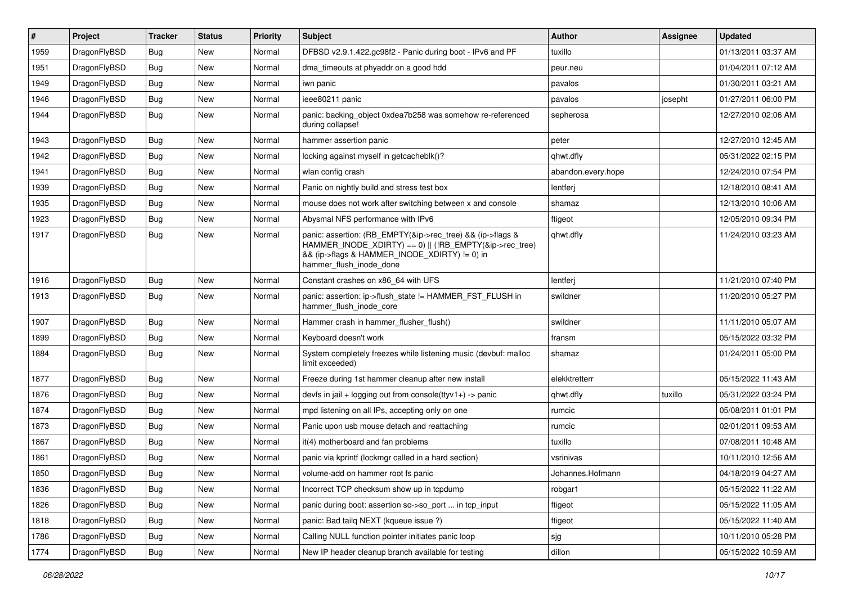| $\vert$ # | Project      | <b>Tracker</b> | <b>Status</b> | <b>Priority</b> | <b>Subject</b>                                                                                                                                                                                    | Author             | Assignee | <b>Updated</b>      |
|-----------|--------------|----------------|---------------|-----------------|---------------------------------------------------------------------------------------------------------------------------------------------------------------------------------------------------|--------------------|----------|---------------------|
| 1959      | DragonFlyBSD | <b>Bug</b>     | <b>New</b>    | Normal          | DFBSD v2.9.1.422.gc98f2 - Panic during boot - IPv6 and PF                                                                                                                                         | tuxillo            |          | 01/13/2011 03:37 AM |
| 1951      | DragonFlyBSD | Bug            | <b>New</b>    | Normal          | dma timeouts at phyaddr on a good hdd                                                                                                                                                             | peur.neu           |          | 01/04/2011 07:12 AM |
| 1949      | DragonFlyBSD | <b>Bug</b>     | <b>New</b>    | Normal          | iwn panic                                                                                                                                                                                         | pavalos            |          | 01/30/2011 03:21 AM |
| 1946      | DragonFlyBSD | Bug            | <b>New</b>    | Normal          | ieee80211 panic                                                                                                                                                                                   | pavalos            | josepht  | 01/27/2011 06:00 PM |
| 1944      | DragonFlyBSD | Bug            | <b>New</b>    | Normal          | panic: backing object 0xdea7b258 was somehow re-referenced<br>during collapse!                                                                                                                    | sepherosa          |          | 12/27/2010 02:06 AM |
| 1943      | DragonFlyBSD | Bug            | <b>New</b>    | Normal          | hammer assertion panic                                                                                                                                                                            | peter              |          | 12/27/2010 12:45 AM |
| 1942      | DragonFlyBSD | <b>Bug</b>     | New           | Normal          | locking against myself in getcacheblk()?                                                                                                                                                          | qhwt.dfly          |          | 05/31/2022 02:15 PM |
| 1941      | DragonFlyBSD | Bug            | <b>New</b>    | Normal          | wlan config crash                                                                                                                                                                                 | abandon.every.hope |          | 12/24/2010 07:54 PM |
| 1939      | DragonFlyBSD | Bug            | <b>New</b>    | Normal          | Panic on nightly build and stress test box                                                                                                                                                        | lentferj           |          | 12/18/2010 08:41 AM |
| 1935      | DragonFlyBSD | Bug            | <b>New</b>    | Normal          | mouse does not work after switching between x and console                                                                                                                                         | shamaz             |          | 12/13/2010 10:06 AM |
| 1923      | DragonFlyBSD | Bug            | <b>New</b>    | Normal          | Abysmal NFS performance with IPv6                                                                                                                                                                 | ftigeot            |          | 12/05/2010 09:34 PM |
| 1917      | DragonFlyBSD | Bug            | New           | Normal          | panic: assertion: (RB_EMPTY(&ip->rec_tree) && (ip->flags &<br>HAMMER INODE XDIRTY) == 0)    (!RB EMPTY(&ip->rec tree)<br>&& (ip->flags & HAMMER_INODE_XDIRTY) != 0) in<br>hammer flush inode done | qhwt.dfly          |          | 11/24/2010 03:23 AM |
| 1916      | DragonFlyBSD | <b>Bug</b>     | <b>New</b>    | Normal          | Constant crashes on x86 64 with UFS                                                                                                                                                               | lentferj           |          | 11/21/2010 07:40 PM |
| 1913      | DragonFlyBSD | Bug            | <b>New</b>    | Normal          | panic: assertion: ip->flush_state != HAMMER_FST_FLUSH in<br>hammer_flush_inode_core                                                                                                               | swildner           |          | 11/20/2010 05:27 PM |
| 1907      | DragonFlyBSD | Bug            | <b>New</b>    | Normal          | Hammer crash in hammer_flusher_flush()                                                                                                                                                            | swildner           |          | 11/11/2010 05:07 AM |
| 1899      | DragonFlyBSD | <b>Bug</b>     | <b>New</b>    | Normal          | Keyboard doesn't work                                                                                                                                                                             | fransm             |          | 05/15/2022 03:32 PM |
| 1884      | DragonFlyBSD | Bug            | New           | Normal          | System completely freezes while listening music (devbuf: malloc<br>limit exceeded)                                                                                                                | shamaz             |          | 01/24/2011 05:00 PM |
| 1877      | DragonFlyBSD | <b>Bug</b>     | New           | Normal          | Freeze during 1st hammer cleanup after new install                                                                                                                                                | elekktretterr      |          | 05/15/2022 11:43 AM |
| 1876      | DragonFlyBSD | Bug            | <b>New</b>    | Normal          | devfs in jail + logging out from console(ttyv1+) -> panic                                                                                                                                         | qhwt.dfly          | tuxillo  | 05/31/2022 03:24 PM |
| 1874      | DragonFlyBSD | Bug            | <b>New</b>    | Normal          | mpd listening on all IPs, accepting only on one                                                                                                                                                   | rumcic             |          | 05/08/2011 01:01 PM |
| 1873      | DragonFlyBSD | <b>Bug</b>     | New           | Normal          | Panic upon usb mouse detach and reattaching                                                                                                                                                       | rumcic             |          | 02/01/2011 09:53 AM |
| 1867      | DragonFlyBSD | Bug            | <b>New</b>    | Normal          | it(4) motherboard and fan problems                                                                                                                                                                | tuxillo            |          | 07/08/2011 10:48 AM |
| 1861      | DragonFlyBSD | Bug            | <b>New</b>    | Normal          | panic via kprintf (lockmgr called in a hard section)                                                                                                                                              | vsrinivas          |          | 10/11/2010 12:56 AM |
| 1850      | DragonFlyBSD | Bug            | New           | Normal          | volume-add on hammer root fs panic                                                                                                                                                                | Johannes.Hofmann   |          | 04/18/2019 04:27 AM |
| 1836      | DragonFlyBSD | Bug            | New           | Normal          | Incorrect TCP checksum show up in tcpdump                                                                                                                                                         | robgar1            |          | 05/15/2022 11:22 AM |
| 1826      | DragonFlyBSD | <b>Bug</b>     | New           | Normal          | panic during boot: assertion so->so_port  in tcp_input                                                                                                                                            | ftigeot            |          | 05/15/2022 11:05 AM |
| 1818      | DragonFlyBSD | <b>Bug</b>     | New           | Normal          | panic: Bad tailq NEXT (kqueue issue ?)                                                                                                                                                            | ftigeot            |          | 05/15/2022 11:40 AM |
| 1786      | DragonFlyBSD | Bug            | New           | Normal          | Calling NULL function pointer initiates panic loop                                                                                                                                                | sjg                |          | 10/11/2010 05:28 PM |
| 1774      | DragonFlyBSD | Bug            | New           | Normal          | New IP header cleanup branch available for testing                                                                                                                                                | dillon             |          | 05/15/2022 10:59 AM |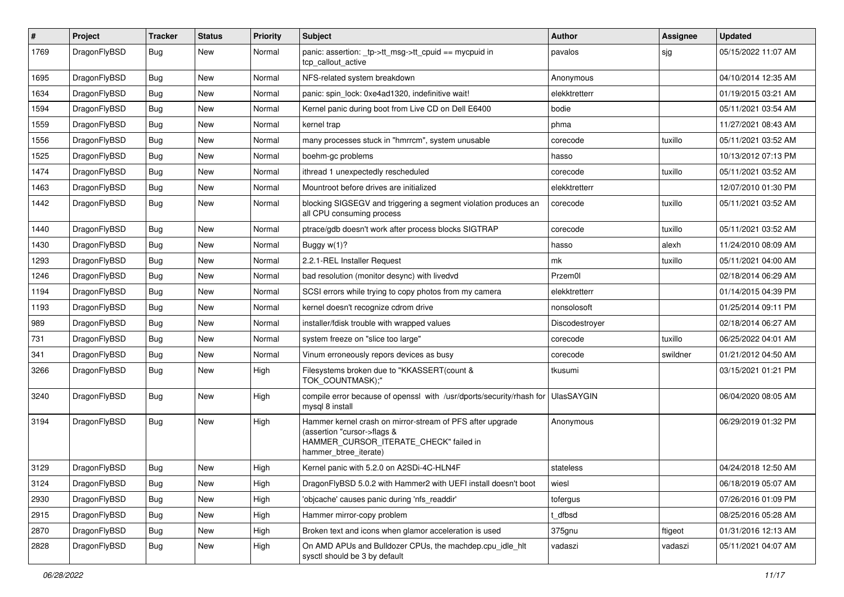| $\pmb{\#}$ | Project      | <b>Tracker</b> | <b>Status</b> | <b>Priority</b> | Subject                                                                                                                                                     | Author            | Assignee | <b>Updated</b>      |
|------------|--------------|----------------|---------------|-----------------|-------------------------------------------------------------------------------------------------------------------------------------------------------------|-------------------|----------|---------------------|
| 1769       | DragonFlyBSD | Bug            | New           | Normal          | panic: assertion: _tp->tt_msg->tt_cpuid == mycpuid in<br>tcp callout active                                                                                 | pavalos           | sjg      | 05/15/2022 11:07 AM |
| 1695       | DragonFlyBSD | Bug            | <b>New</b>    | Normal          | NFS-related system breakdown                                                                                                                                | Anonymous         |          | 04/10/2014 12:35 AM |
| 1634       | DragonFlyBSD | Bug            | <b>New</b>    | Normal          | panic: spin lock: 0xe4ad1320, indefinitive wait!                                                                                                            | elekktretterr     |          | 01/19/2015 03:21 AM |
| 1594       | DragonFlyBSD | <b>Bug</b>     | <b>New</b>    | Normal          | Kernel panic during boot from Live CD on Dell E6400                                                                                                         | bodie             |          | 05/11/2021 03:54 AM |
| 1559       | DragonFlyBSD | Bug            | New           | Normal          | kernel trap                                                                                                                                                 | phma              |          | 11/27/2021 08:43 AM |
| 1556       | DragonFlyBSD | <b>Bug</b>     | <b>New</b>    | Normal          | many processes stuck in "hmrrcm", system unusable                                                                                                           | corecode          | tuxillo  | 05/11/2021 03:52 AM |
| 1525       | DragonFlyBSD | <b>Bug</b>     | New           | Normal          | boehm-gc problems                                                                                                                                           | hasso             |          | 10/13/2012 07:13 PM |
| 1474       | DragonFlyBSD | Bug            | <b>New</b>    | Normal          | ithread 1 unexpectedly rescheduled                                                                                                                          | corecode          | tuxillo  | 05/11/2021 03:52 AM |
| 1463       | DragonFlyBSD | Bug            | <b>New</b>    | Normal          | Mountroot before drives are initialized                                                                                                                     | elekktretterr     |          | 12/07/2010 01:30 PM |
| 1442       | DragonFlyBSD | <b>Bug</b>     | New           | Normal          | blocking SIGSEGV and triggering a segment violation produces an<br>all CPU consuming process                                                                | corecode          | tuxillo  | 05/11/2021 03:52 AM |
| 1440       | DragonFlyBSD | <b>Bug</b>     | New           | Normal          | ptrace/gdb doesn't work after process blocks SIGTRAP                                                                                                        | corecode          | tuxillo  | 05/11/2021 03:52 AM |
| 1430       | DragonFlyBSD | <b>Bug</b>     | <b>New</b>    | Normal          | Buggy $w(1)$ ?                                                                                                                                              | hasso             | alexh    | 11/24/2010 08:09 AM |
| 1293       | DragonFlyBSD | <b>Bug</b>     | <b>New</b>    | Normal          | 2.2.1-REL Installer Request                                                                                                                                 | mk                | tuxillo  | 05/11/2021 04:00 AM |
| 1246       | DragonFlyBSD | <b>Bug</b>     | New           | Normal          | bad resolution (monitor desync) with livedvd                                                                                                                | Przem0l           |          | 02/18/2014 06:29 AM |
| 1194       | DragonFlyBSD | Bug            | <b>New</b>    | Normal          | SCSI errors while trying to copy photos from my camera                                                                                                      | elekktretterr     |          | 01/14/2015 04:39 PM |
| 1193       | DragonFlyBSD | <b>Bug</b>     | <b>New</b>    | Normal          | kernel doesn't recognize cdrom drive                                                                                                                        | nonsolosoft       |          | 01/25/2014 09:11 PM |
| 989        | DragonFlyBSD | Bug            | New           | Normal          | installer/fdisk trouble with wrapped values                                                                                                                 | Discodestroyer    |          | 02/18/2014 06:27 AM |
| 731        | DragonFlyBSD | Bug            | <b>New</b>    | Normal          | system freeze on "slice too large"                                                                                                                          | corecode          | tuxillo  | 06/25/2022 04:01 AM |
| 341        | DragonFlyBSD | <b>Bug</b>     | New           | Normal          | Vinum erroneously repors devices as busy                                                                                                                    | corecode          | swildner | 01/21/2012 04:50 AM |
| 3266       | DragonFlyBSD | Bug            | New           | High            | Filesystems broken due to "KKASSERT(count &<br>TOK_COUNTMASK);"                                                                                             | tkusumi           |          | 03/15/2021 01:21 PM |
| 3240       | DragonFlyBSD | Bug            | <b>New</b>    | High            | compile error because of openssl with /usr/dports/security/rhash for<br>mysql 8 install                                                                     | <b>UlasSAYGIN</b> |          | 06/04/2020 08:05 AM |
| 3194       | DragonFlyBSD | <b>Bug</b>     | <b>New</b>    | High            | Hammer kernel crash on mirror-stream of PFS after upgrade<br>(assertion "cursor->flags &<br>HAMMER_CURSOR_ITERATE_CHECK" failed in<br>hammer btree iterate) | Anonymous         |          | 06/29/2019 01:32 PM |
| 3129       | DragonFlyBSD | Bug            | New           | High            | Kernel panic with 5.2.0 on A2SDi-4C-HLN4F                                                                                                                   | stateless         |          | 04/24/2018 12:50 AM |
| 3124       | DragonFlyBSD | Bug            | <b>New</b>    | High            | DragonFlyBSD 5.0.2 with Hammer2 with UEFI install doesn't boot                                                                                              | wiesl             |          | 06/18/2019 05:07 AM |
| 2930       | DragonFlyBSD | Bug            | New           | High            | 'objcache' causes panic during 'nfs_readdir'                                                                                                                | tofergus          |          | 07/26/2016 01:09 PM |
| 2915       | DragonFlyBSD | <b>Bug</b>     | New           | High            | Hammer mirror-copy problem                                                                                                                                  | t_dfbsd           |          | 08/25/2016 05:28 AM |
| 2870       | DragonFlyBSD | Bug            | New           | High            | Broken text and icons when glamor acceleration is used                                                                                                      | 375gnu            | ftigeot  | 01/31/2016 12:13 AM |
| 2828       | DragonFlyBSD | <b>Bug</b>     | New           | High            | On AMD APUs and Bulldozer CPUs, the machdep.cpu_idle_hlt<br>sysctl should be 3 by default                                                                   | vadaszi           | vadaszi  | 05/11/2021 04:07 AM |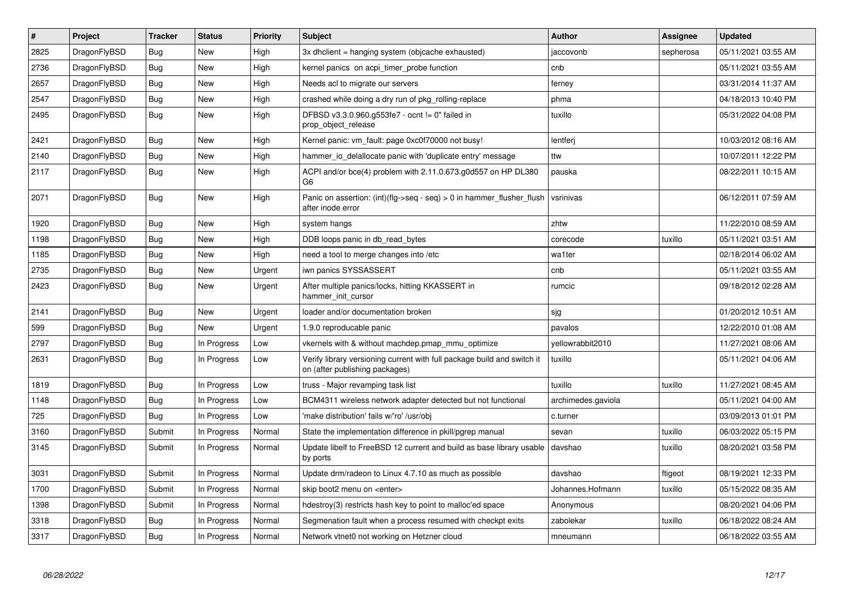| $\#$ | Project      | <b>Tracker</b> | <b>Status</b> | Priority | <b>Subject</b>                                                                                            | <b>Author</b>      | Assignee  | <b>Updated</b>      |
|------|--------------|----------------|---------------|----------|-----------------------------------------------------------------------------------------------------------|--------------------|-----------|---------------------|
| 2825 | DragonFlyBSD | <b>Bug</b>     | <b>New</b>    | High     | 3x dhclient = hanging system (objcache exhausted)                                                         | jaccovonb          | sepherosa | 05/11/2021 03:55 AM |
| 2736 | DragonFlyBSD | Bug            | <b>New</b>    | High     | kernel panics on acpi timer probe function                                                                | cnb                |           | 05/11/2021 03:55 AM |
| 2657 | DragonFlyBSD | Bug            | New           | High     | Needs acl to migrate our servers                                                                          | ferney             |           | 03/31/2014 11:37 AM |
| 2547 | DragonFlyBSD | <b>Bug</b>     | <b>New</b>    | High     | crashed while doing a dry run of pkg rolling-replace                                                      | phma               |           | 04/18/2013 10:40 PM |
| 2495 | DragonFlyBSD | Bug            | <b>New</b>    | High     | DFBSD v3.3.0.960.g553fe7 - ocnt != 0" failed in<br>prop_object_release                                    | tuxillo            |           | 05/31/2022 04:08 PM |
| 2421 | DragonFlyBSD | Bug            | <b>New</b>    | High     | Kernel panic: vm fault: page 0xc0f70000 not busy!                                                         | lentferj           |           | 10/03/2012 08:16 AM |
| 2140 | DragonFlyBSD | <b>Bug</b>     | <b>New</b>    | High     | hammer_io_delallocate panic with 'duplicate entry' message                                                | ttw                |           | 10/07/2011 12:22 PM |
| 2117 | DragonFlyBSD | Bug            | New           | High     | ACPI and/or bce(4) problem with 2.11.0.673.g0d557 on HP DL380<br>G <sub>6</sub>                           | pauska             |           | 08/22/2011 10:15 AM |
| 2071 | DragonFlyBSD | Bug            | <b>New</b>    | High     | Panic on assertion: (int)(flg->seq - seq) > 0 in hammer flusher flush<br>after inode error                | vsrinivas          |           | 06/12/2011 07:59 AM |
| 1920 | DragonFlyBSD | Bug            | <b>New</b>    | High     | system hangs                                                                                              | zhtw               |           | 11/22/2010 08:59 AM |
| 1198 | DragonFlyBSD | Bug            | <b>New</b>    | High     | DDB loops panic in db read bytes                                                                          | corecode           | tuxillo   | 05/11/2021 03:51 AM |
| 1185 | DragonFlyBSD | <b>Bug</b>     | <b>New</b>    | High     | need a tool to merge changes into /etc                                                                    | wa1ter             |           | 02/18/2014 06:02 AM |
| 2735 | DragonFlyBSD | <b>Bug</b>     | New           | Urgent   | iwn panics SYSSASSERT                                                                                     | cnb                |           | 05/11/2021 03:55 AM |
| 2423 | DragonFlyBSD | <b>Bug</b>     | <b>New</b>    | Urgent   | After multiple panics/locks, hitting KKASSERT in<br>hammer init cursor                                    | rumcic             |           | 09/18/2012 02:28 AM |
| 2141 | DragonFlyBSD | <b>Bug</b>     | <b>New</b>    | Urgent   | loader and/or documentation broken                                                                        | sjg                |           | 01/20/2012 10:51 AM |
| 599  | DragonFlyBSD | Bug            | <b>New</b>    | Urgent   | 1.9.0 reproducable panic                                                                                  | pavalos            |           | 12/22/2010 01:08 AM |
| 2797 | DragonFlyBSD | Bug            | In Progress   | Low      | vkernels with & without machdep.pmap mmu optimize                                                         | yellowrabbit2010   |           | 11/27/2021 08:06 AM |
| 2631 | DragonFlyBSD | Bug            | In Progress   | Low      | Verify library versioning current with full package build and switch it<br>on (after publishing packages) | tuxillo            |           | 05/11/2021 04:06 AM |
| 1819 | DragonFlyBSD | <b>Bug</b>     | In Progress   | Low      | truss - Major revamping task list                                                                         | tuxillo            | tuxillo   | 11/27/2021 08:45 AM |
| 1148 | DragonFlyBSD | Bug            | In Progress   | Low      | BCM4311 wireless network adapter detected but not functional                                              | archimedes.gaviola |           | 05/11/2021 04:00 AM |
| 725  | DragonFlyBSD | Bug            | In Progress   | Low      | 'make distribution' fails w/'ro' /usr/obj                                                                 | c.turner           |           | 03/09/2013 01:01 PM |
| 3160 | DragonFlyBSD | Submit         | In Progress   | Normal   | State the implementation difference in pkill/pgrep manual                                                 | sevan              | tuxillo   | 06/03/2022 05:15 PM |
| 3145 | DragonFlyBSD | Submit         | In Progress   | Normal   | Update libelf to FreeBSD 12 current and build as base library usable<br>by ports                          | davshao            | tuxillo   | 08/20/2021 03:58 PM |
| 3031 | DragonFlyBSD | Submit         | In Progress   | Normal   | Update drm/radeon to Linux 4.7.10 as much as possible                                                     | davshao            | ftigeot   | 08/19/2021 12:33 PM |
| 1700 | DragonFlyBSD | Submit         | In Progress   | Normal   | skip boot2 menu on <enter></enter>                                                                        | Johannes.Hofmann   | tuxillo   | 05/15/2022 08:35 AM |
| 1398 | DragonFlyBSD | Submit         | In Progress   | Normal   | hdestroy(3) restricts hash key to point to malloc'ed space                                                | Anonymous          |           | 08/20/2021 04:06 PM |
| 3318 | DragonFlyBSD | Bug            | In Progress   | Normal   | Segmenation fault when a process resumed with checkpt exits                                               | zabolekar          | tuxillo   | 06/18/2022 08:24 AM |
| 3317 | DragonFlyBSD | Bug            | In Progress   | Normal   | Network vtnet0 not working on Hetzner cloud                                                               | mneumann           |           | 06/18/2022 03:55 AM |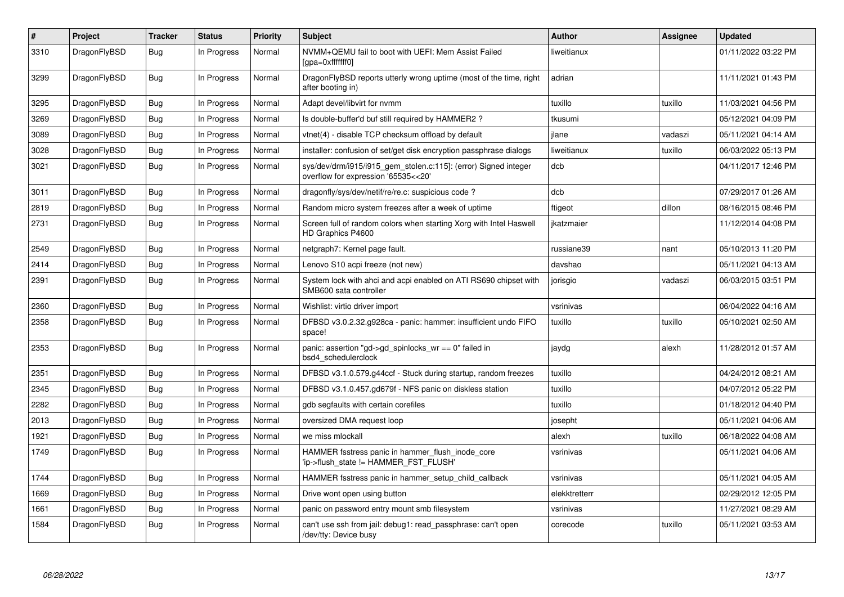| $\vert$ # | Project      | <b>Tracker</b> | <b>Status</b> | <b>Priority</b> | <b>Subject</b>                                                                                         | <b>Author</b> | <b>Assignee</b> | <b>Updated</b>      |
|-----------|--------------|----------------|---------------|-----------------|--------------------------------------------------------------------------------------------------------|---------------|-----------------|---------------------|
| 3310      | DragonFlyBSD | Bug            | In Progress   | Normal          | NVMM+QEMU fail to boot with UEFI: Mem Assist Failed<br>[gpa=0xfffffff0]                                | liweitianux   |                 | 01/11/2022 03:22 PM |
| 3299      | DragonFlyBSD | <b>Bug</b>     | In Progress   | Normal          | DragonFlyBSD reports utterly wrong uptime (most of the time, right<br>after booting in)                | adrian        |                 | 11/11/2021 01:43 PM |
| 3295      | DragonFlyBSD | <b>Bug</b>     | In Progress   | Normal          | Adapt devel/libvirt for nymm                                                                           | tuxillo       | tuxillo         | 11/03/2021 04:56 PM |
| 3269      | DragonFlyBSD | Bug            | In Progress   | Normal          | Is double-buffer'd buf still required by HAMMER2?                                                      | tkusumi       |                 | 05/12/2021 04:09 PM |
| 3089      | DragonFlyBSD | Bug            | In Progress   | Normal          | vtnet(4) - disable TCP checksum offload by default                                                     | jlane         | vadaszi         | 05/11/2021 04:14 AM |
| 3028      | DragonFlyBSD | Bug            | In Progress   | Normal          | installer: confusion of set/get disk encryption passphrase dialogs                                     | liweitianux   | tuxillo         | 06/03/2022 05:13 PM |
| 3021      | DragonFlyBSD | <b>Bug</b>     | In Progress   | Normal          | sys/dev/drm/i915/i915_gem_stolen.c:115]: (error) Signed integer<br>overflow for expression '65535<<20' | dcb           |                 | 04/11/2017 12:46 PM |
| 3011      | DragonFlyBSD | <b>Bug</b>     | In Progress   | Normal          | dragonfly/sys/dev/netif/re/re.c: suspicious code ?                                                     | dcb           |                 | 07/29/2017 01:26 AM |
| 2819      | DragonFlyBSD | <b>Bug</b>     | In Progress   | Normal          | Random micro system freezes after a week of uptime                                                     | ftigeot       | dillon          | 08/16/2015 08:46 PM |
| 2731      | DragonFlyBSD | Bug            | In Progress   | Normal          | Screen full of random colors when starting Xorg with Intel Haswell<br>HD Graphics P4600                | ikatzmaier    |                 | 11/12/2014 04:08 PM |
| 2549      | DragonFlyBSD | <b>Bug</b>     | In Progress   | Normal          | netgraph7: Kernel page fault.                                                                          | russiane39    | nant            | 05/10/2013 11:20 PM |
| 2414      | DragonFlyBSD | Bug            | In Progress   | Normal          | Lenovo S10 acpi freeze (not new)                                                                       | davshao       |                 | 05/11/2021 04:13 AM |
| 2391      | DragonFlyBSD | <b>Bug</b>     | In Progress   | Normal          | System lock with ahci and acpi enabled on ATI RS690 chipset with<br>SMB600 sata controller             | jorisgio      | vadaszi         | 06/03/2015 03:51 PM |
| 2360      | DragonFlyBSD | Bug            | In Progress   | Normal          | Wishlist: virtio driver import                                                                         | vsrinivas     |                 | 06/04/2022 04:16 AM |
| 2358      | DragonFlyBSD | <b>Bug</b>     | In Progress   | Normal          | DFBSD v3.0.2.32.g928ca - panic: hammer: insufficient undo FIFO<br>space!                               | tuxillo       | tuxillo         | 05/10/2021 02:50 AM |
| 2353      | DragonFlyBSD | Bug            | In Progress   | Normal          | panic: assertion "gd->gd spinlocks wr == 0" failed in<br>bsd4_schedulerclock                           | jaydg         | alexh           | 11/28/2012 01:57 AM |
| 2351      | DragonFlyBSD | <b>Bug</b>     | In Progress   | Normal          | DFBSD v3.1.0.579.g44ccf - Stuck during startup, random freezes                                         | tuxillo       |                 | 04/24/2012 08:21 AM |
| 2345      | DragonFlyBSD | Bug            | In Progress   | Normal          | DFBSD v3.1.0.457.gd679f - NFS panic on diskless station                                                | tuxillo       |                 | 04/07/2012 05:22 PM |
| 2282      | DragonFlyBSD | <b>Bug</b>     | In Progress   | Normal          | gdb segfaults with certain corefiles                                                                   | tuxillo       |                 | 01/18/2012 04:40 PM |
| 2013      | DragonFlyBSD | Bug            | In Progress   | Normal          | oversized DMA request loop                                                                             | josepht       |                 | 05/11/2021 04:06 AM |
| 1921      | DragonFlyBSD | Bug            | In Progress   | Normal          | we miss mlockall                                                                                       | alexh         | tuxillo         | 06/18/2022 04:08 AM |
| 1749      | DragonFlyBSD | <b>Bug</b>     | In Progress   | Normal          | HAMMER fsstress panic in hammer_flush_inode_core<br>ip->flush_state != HAMMER_FST_FLUSH'               | vsrinivas     |                 | 05/11/2021 04:06 AM |
| 1744      | DragonFlyBSD | Bug            | In Progress   | Normal          | HAMMER fsstress panic in hammer setup child callback                                                   | vsrinivas     |                 | 05/11/2021 04:05 AM |
| 1669      | DragonFlyBSD | <b>Bug</b>     | In Progress   | Normal          | Drive wont open using button                                                                           | elekktretterr |                 | 02/29/2012 12:05 PM |
| 1661      | DragonFlyBSD | Bug            | In Progress   | Normal          | panic on password entry mount smb filesystem                                                           | vsrinivas     |                 | 11/27/2021 08:29 AM |
| 1584      | DragonFlyBSD | Bug            | In Progress   | Normal          | can't use ssh from jail: debug1: read passphrase: can't open<br>/dev/tty: Device busy                  | corecode      | tuxillo         | 05/11/2021 03:53 AM |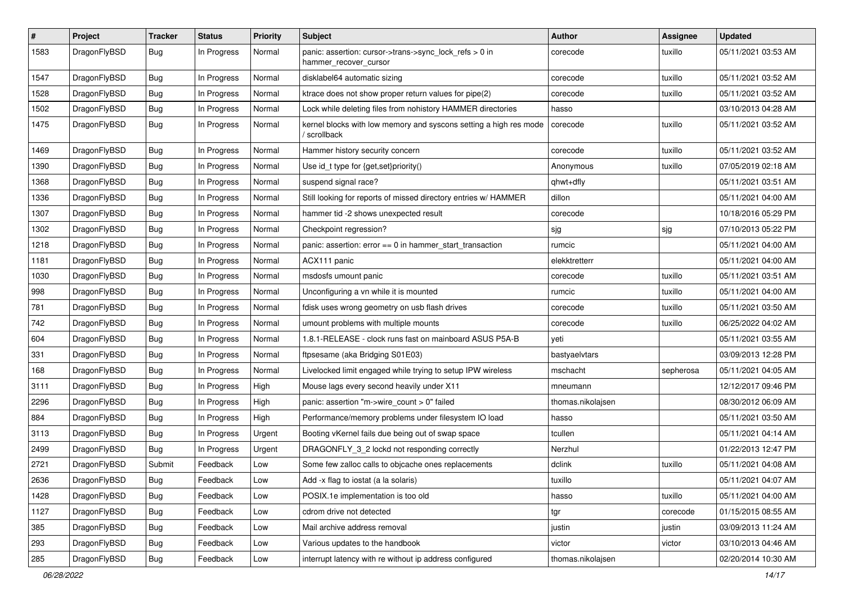| $\sharp$ | Project      | <b>Tracker</b> | <b>Status</b> | <b>Priority</b> | Subject                                                                           | Author            | Assignee  | <b>Updated</b>      |
|----------|--------------|----------------|---------------|-----------------|-----------------------------------------------------------------------------------|-------------------|-----------|---------------------|
| 1583     | DragonFlyBSD | Bug            | In Progress   | Normal          | panic: assertion: cursor->trans->sync_lock_refs > 0 in<br>hammer_recover_cursor   | corecode          | tuxillo   | 05/11/2021 03:53 AM |
| 1547     | DragonFlyBSD | Bug            | In Progress   | Normal          | disklabel64 automatic sizing                                                      | corecode          | tuxillo   | 05/11/2021 03:52 AM |
| 1528     | DragonFlyBSD | <b>Bug</b>     | In Progress   | Normal          | ktrace does not show proper return values for pipe(2)                             | corecode          | tuxillo   | 05/11/2021 03:52 AM |
| 1502     | DragonFlyBSD | Bug            | In Progress   | Normal          | Lock while deleting files from nohistory HAMMER directories                       | hasso             |           | 03/10/2013 04:28 AM |
| 1475     | DragonFlyBSD | <b>Bug</b>     | In Progress   | Normal          | kernel blocks with low memory and syscons setting a high res mode<br>/ scrollback | corecode          | tuxillo   | 05/11/2021 03:52 AM |
| 1469     | DragonFlyBSD | Bug            | In Progress   | Normal          | Hammer history security concern                                                   | corecode          | tuxillo   | 05/11/2021 03:52 AM |
| 1390     | DragonFlyBSD | Bug            | In Progress   | Normal          | Use id_t type for {get,set}priority()                                             | Anonymous         | tuxillo   | 07/05/2019 02:18 AM |
| 1368     | DragonFlyBSD | Bug            | In Progress   | Normal          | suspend signal race?                                                              | qhwt+dfly         |           | 05/11/2021 03:51 AM |
| 1336     | DragonFlyBSD | Bug            | In Progress   | Normal          | Still looking for reports of missed directory entries w/ HAMMER                   | dillon            |           | 05/11/2021 04:00 AM |
| 1307     | DragonFlyBSD | <b>Bug</b>     | In Progress   | Normal          | hammer tid -2 shows unexpected result                                             | corecode          |           | 10/18/2016 05:29 PM |
| 1302     | DragonFlyBSD | Bug            | In Progress   | Normal          | Checkpoint regression?                                                            | sjg               | sjg       | 07/10/2013 05:22 PM |
| 1218     | DragonFlyBSD | <b>Bug</b>     | In Progress   | Normal          | panic: assertion: error == 0 in hammer_start_transaction                          | rumcic            |           | 05/11/2021 04:00 AM |
| 1181     | DragonFlyBSD | Bug            | In Progress   | Normal          | ACX111 panic                                                                      | elekktretterr     |           | 05/11/2021 04:00 AM |
| 1030     | DragonFlyBSD | Bug            | In Progress   | Normal          | msdosfs umount panic                                                              | corecode          | tuxillo   | 05/11/2021 03:51 AM |
| 998      | DragonFlyBSD | <b>Bug</b>     | In Progress   | Normal          | Unconfiguring a vn while it is mounted                                            | rumcic            | tuxillo   | 05/11/2021 04:00 AM |
| 781      | DragonFlyBSD | Bug            | In Progress   | Normal          | fdisk uses wrong geometry on usb flash drives                                     | corecode          | tuxillo   | 05/11/2021 03:50 AM |
| 742      | DragonFlyBSD | Bug            | In Progress   | Normal          | umount problems with multiple mounts                                              | corecode          | tuxillo   | 06/25/2022 04:02 AM |
| 604      | DragonFlyBSD | Bug            | In Progress   | Normal          | 1.8.1-RELEASE - clock runs fast on mainboard ASUS P5A-B                           | yeti              |           | 05/11/2021 03:55 AM |
| 331      | DragonFlyBSD | <b>Bug</b>     | In Progress   | Normal          | ftpsesame (aka Bridging S01E03)                                                   | bastyaelvtars     |           | 03/09/2013 12:28 PM |
| 168      | DragonFlyBSD | <b>Bug</b>     | In Progress   | Normal          | Livelocked limit engaged while trying to setup IPW wireless                       | mschacht          | sepherosa | 05/11/2021 04:05 AM |
| 3111     | DragonFlyBSD | <b>Bug</b>     | In Progress   | High            | Mouse lags every second heavily under X11                                         | mneumann          |           | 12/12/2017 09:46 PM |
| 2296     | DragonFlyBSD | <b>Bug</b>     | In Progress   | High            | panic: assertion "m->wire count > 0" failed                                       | thomas.nikolajsen |           | 08/30/2012 06:09 AM |
| 884      | DragonFlyBSD | Bug            | In Progress   | High            | Performance/memory problems under filesystem IO load                              | hasso             |           | 05/11/2021 03:50 AM |
| 3113     | DragonFlyBSD | <b>Bug</b>     | In Progress   | Urgent          | Booting vKernel fails due being out of swap space                                 | tcullen           |           | 05/11/2021 04:14 AM |
| 2499     | DragonFlyBSD | <b>Bug</b>     | In Progress   | Urgent          | DRAGONFLY_3_2 lockd not responding correctly                                      | Nerzhul           |           | 01/22/2013 12:47 PM |
| 2721     | DragonFlyBSD | Submit         | Feedback      | Low             | Some few zalloc calls to objcache ones replacements                               | dclink            | tuxillo   | 05/11/2021 04:08 AM |
| 2636     | DragonFlyBSD | <b>Bug</b>     | Feedback      | Low             | Add -x flag to iostat (a la solaris)                                              | tuxillo           |           | 05/11/2021 04:07 AM |
| 1428     | DragonFlyBSD | <b>Bug</b>     | Feedback      | Low             | POSIX.1e implementation is too old                                                | hasso             | tuxillo   | 05/11/2021 04:00 AM |
| 1127     | DragonFlyBSD | <b>Bug</b>     | Feedback      | Low             | cdrom drive not detected                                                          | tgr               | corecode  | 01/15/2015 08:55 AM |
| 385      | DragonFlyBSD | <b>Bug</b>     | Feedback      | Low             | Mail archive address removal                                                      | justin            | justin    | 03/09/2013 11:24 AM |
| 293      | DragonFlyBSD | <b>Bug</b>     | Feedback      | Low             | Various updates to the handbook                                                   | victor            | victor    | 03/10/2013 04:46 AM |
| 285      | DragonFlyBSD | <b>Bug</b>     | Feedback      | Low             | interrupt latency with re without ip address configured                           | thomas.nikolajsen |           | 02/20/2014 10:30 AM |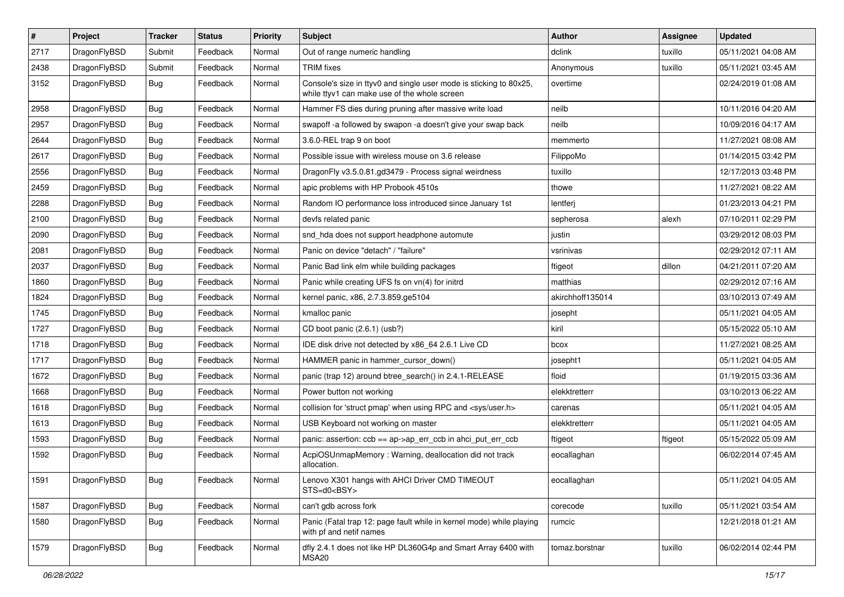| $\vert$ # | Project      | <b>Tracker</b> | <b>Status</b> | <b>Priority</b> | Subject                                                                                                            | <b>Author</b>    | Assignee | <b>Updated</b>      |
|-----------|--------------|----------------|---------------|-----------------|--------------------------------------------------------------------------------------------------------------------|------------------|----------|---------------------|
| 2717      | DragonFlyBSD | Submit         | Feedback      | Normal          | Out of range numeric handling                                                                                      | dclink           | tuxillo  | 05/11/2021 04:08 AM |
| 2438      | DragonFlyBSD | Submit         | Feedback      | Normal          | <b>TRIM</b> fixes                                                                                                  | Anonymous        | tuxillo  | 05/11/2021 03:45 AM |
| 3152      | DragonFlyBSD | Bug            | Feedback      | Normal          | Console's size in ttyv0 and single user mode is sticking to 80x25,<br>while ttyv1 can make use of the whole screen | overtime         |          | 02/24/2019 01:08 AM |
| 2958      | DragonFlyBSD | Bug            | Feedback      | Normal          | Hammer FS dies during pruning after massive write load                                                             | neilb            |          | 10/11/2016 04:20 AM |
| 2957      | DragonFlyBSD | Bug            | Feedback      | Normal          | swapoff-a followed by swapon-a doesn't give your swap back                                                         | neilb            |          | 10/09/2016 04:17 AM |
| 2644      | DragonFlyBSD | Bug            | Feedback      | Normal          | 3.6.0-REL trap 9 on boot                                                                                           | memmerto         |          | 11/27/2021 08:08 AM |
| 2617      | DragonFlyBSD | Bug            | Feedback      | Normal          | Possible issue with wireless mouse on 3.6 release                                                                  | FilippoMo        |          | 01/14/2015 03:42 PM |
| 2556      | DragonFlyBSD | Bug            | Feedback      | Normal          | DragonFly v3.5.0.81.gd3479 - Process signal weirdness                                                              | tuxillo          |          | 12/17/2013 03:48 PM |
| 2459      | DragonFlyBSD | Bug            | Feedback      | Normal          | apic problems with HP Probook 4510s                                                                                | thowe            |          | 11/27/2021 08:22 AM |
| 2288      | DragonFlyBSD | Bug            | Feedback      | Normal          | Random IO performance loss introduced since January 1st                                                            | lentferj         |          | 01/23/2013 04:21 PM |
| 2100      | DragonFlyBSD | Bug            | Feedback      | Normal          | devfs related panic                                                                                                | sepherosa        | alexh    | 07/10/2011 02:29 PM |
| 2090      | DragonFlyBSD | Bug            | Feedback      | Normal          | snd hda does not support headphone automute                                                                        | justin           |          | 03/29/2012 08:03 PM |
| 2081      | DragonFlyBSD | Bug            | Feedback      | Normal          | Panic on device "detach" / "failure"                                                                               | vsrinivas        |          | 02/29/2012 07:11 AM |
| 2037      | DragonFlyBSD | Bug            | Feedback      | Normal          | Panic Bad link elm while building packages                                                                         | ftigeot          | dillon   | 04/21/2011 07:20 AM |
| 1860      | DragonFlyBSD | <b>Bug</b>     | Feedback      | Normal          | Panic while creating UFS fs on vn(4) for initrd                                                                    | matthias         |          | 02/29/2012 07:16 AM |
| 1824      | DragonFlyBSD | Bug            | Feedback      | Normal          | kernel panic, x86, 2.7.3.859.ge5104                                                                                | akirchhoff135014 |          | 03/10/2013 07:49 AM |
| 1745      | DragonFlyBSD | Bug            | Feedback      | Normal          | kmalloc panic                                                                                                      | josepht          |          | 05/11/2021 04:05 AM |
| 1727      | DragonFlyBSD | Bug            | Feedback      | Normal          | CD boot panic (2.6.1) (usb?)                                                                                       | kiril            |          | 05/15/2022 05:10 AM |
| 1718      | DragonFlyBSD | Bug            | Feedback      | Normal          | IDE disk drive not detected by x86_64 2.6.1 Live CD                                                                | bcox             |          | 11/27/2021 08:25 AM |
| 1717      | DragonFlyBSD | Bug            | Feedback      | Normal          | HAMMER panic in hammer_cursor_down()                                                                               | josepht1         |          | 05/11/2021 04:05 AM |
| 1672      | DragonFlyBSD | <b>Bug</b>     | Feedback      | Normal          | panic (trap 12) around btree_search() in 2.4.1-RELEASE                                                             | floid            |          | 01/19/2015 03:36 AM |
| 1668      | DragonFlyBSD | Bug            | Feedback      | Normal          | Power button not working                                                                                           | elekktretterr    |          | 03/10/2013 06:22 AM |
| 1618      | DragonFlyBSD | Bug            | Feedback      | Normal          | collision for 'struct pmap' when using RPC and <sys user.h=""></sys>                                               | carenas          |          | 05/11/2021 04:05 AM |
| 1613      | DragonFlyBSD | Bug            | Feedback      | Normal          | USB Keyboard not working on master                                                                                 | elekktretterr    |          | 05/11/2021 04:05 AM |
| 1593      | DragonFlyBSD | Bug            | Feedback      | Normal          | panic: assertion: ccb == ap->ap_err_ccb in ahci_put_err_ccb                                                        | ftigeot          | ftigeot  | 05/15/2022 05:09 AM |
| 1592      | DragonFlyBSD | Bug            | Feedback      | Normal          | AcpiOSUnmapMemory: Warning, deallocation did not track<br>allocation.                                              | eocallaghan      |          | 06/02/2014 07:45 AM |
| 1591      | DragonFlyBSD | <b>Bug</b>     | Feedback      | Normal          | Lenovo X301 hangs with AHCI Driver CMD TIMEOUT<br>STS=d0 <bsy></bsy>                                               | eocallaghan      |          | 05/11/2021 04:05 AM |
| 1587      | DragonFlyBSD | <b>Bug</b>     | Feedback      | Normal          | can't gdb across fork                                                                                              | corecode         | tuxillo  | 05/11/2021 03:54 AM |
| 1580      | DragonFlyBSD | <b>Bug</b>     | Feedback      | Normal          | Panic (Fatal trap 12: page fault while in kernel mode) while playing<br>with pf and netif names                    | rumcic           |          | 12/21/2018 01:21 AM |
| 1579      | DragonFlyBSD | <b>Bug</b>     | Feedback      | Normal          | dfly 2.4.1 does not like HP DL360G4p and Smart Array 6400 with<br>MSA20                                            | tomaz.borstnar   | tuxillo  | 06/02/2014 02:44 PM |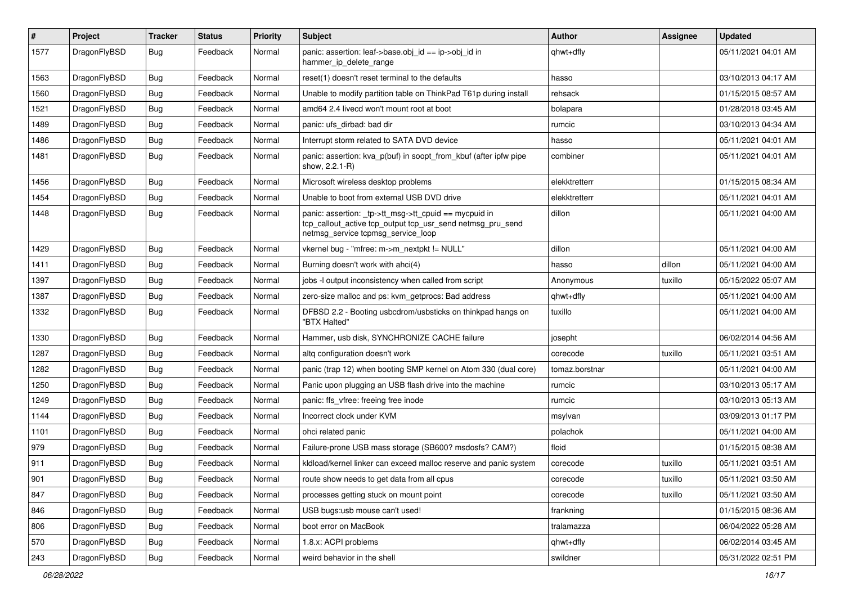| $\sharp$ | Project      | <b>Tracker</b> | <b>Status</b> | <b>Priority</b> | Subject                                                                                                                                                   | Author         | Assignee | <b>Updated</b>      |
|----------|--------------|----------------|---------------|-----------------|-----------------------------------------------------------------------------------------------------------------------------------------------------------|----------------|----------|---------------------|
| 1577     | DragonFlyBSD | <b>Bug</b>     | Feedback      | Normal          | panic: assertion: leaf->base.obj_id == ip->obj_id in<br>hammer ip delete range                                                                            | qhwt+dfly      |          | 05/11/2021 04:01 AM |
| 1563     | DragonFlyBSD | <b>Bug</b>     | Feedback      | Normal          | reset(1) doesn't reset terminal to the defaults                                                                                                           | hasso          |          | 03/10/2013 04:17 AM |
| 1560     | DragonFlyBSD | <b>Bug</b>     | Feedback      | Normal          | Unable to modify partition table on ThinkPad T61p during install                                                                                          | rehsack        |          | 01/15/2015 08:57 AM |
| 1521     | DragonFlyBSD | Bug            | Feedback      | Normal          | amd64 2.4 livecd won't mount root at boot                                                                                                                 | bolapara       |          | 01/28/2018 03:45 AM |
| 1489     | DragonFlyBSD | <b>Bug</b>     | Feedback      | Normal          | panic: ufs dirbad: bad dir                                                                                                                                | rumcic         |          | 03/10/2013 04:34 AM |
| 1486     | DragonFlyBSD | <b>Bug</b>     | Feedback      | Normal          | Interrupt storm related to SATA DVD device                                                                                                                | hasso          |          | 05/11/2021 04:01 AM |
| 1481     | DragonFlyBSD | Bug            | Feedback      | Normal          | panic: assertion: kva p(buf) in soopt from kbuf (after ipfw pipe<br>show, 2.2.1-R)                                                                        | combiner       |          | 05/11/2021 04:01 AM |
| 1456     | DragonFlyBSD | Bug            | Feedback      | Normal          | Microsoft wireless desktop problems                                                                                                                       | elekktretterr  |          | 01/15/2015 08:34 AM |
| 1454     | DragonFlyBSD | <b>Bug</b>     | Feedback      | Normal          | Unable to boot from external USB DVD drive                                                                                                                | elekktretterr  |          | 05/11/2021 04:01 AM |
| 1448     | DragonFlyBSD | Bug            | Feedback      | Normal          | panic: assertion: _tp->tt_msg->tt_cpuid == mycpuid in<br>tcp_callout_active tcp_output tcp_usr_send netmsg_pru_send<br>netmsg service tcpmsg service loop | dillon         |          | 05/11/2021 04:00 AM |
| 1429     | DragonFlyBSD | Bug            | Feedback      | Normal          | vkernel bug - "mfree: m->m_nextpkt != NULL"                                                                                                               | dillon         |          | 05/11/2021 04:00 AM |
| 1411     | DragonFlyBSD | <b>Bug</b>     | Feedback      | Normal          | Burning doesn't work with ahci(4)                                                                                                                         | hasso          | dillon   | 05/11/2021 04:00 AM |
| 1397     | DragonFlyBSD | <b>Bug</b>     | Feedback      | Normal          | jobs -I output inconsistency when called from script                                                                                                      | Anonymous      | tuxillo  | 05/15/2022 05:07 AM |
| 1387     | DragonFlyBSD | Bug            | Feedback      | Normal          | zero-size malloc and ps: kvm_getprocs: Bad address                                                                                                        | qhwt+dfly      |          | 05/11/2021 04:00 AM |
| 1332     | DragonFlyBSD | <b>Bug</b>     | Feedback      | Normal          | DFBSD 2.2 - Booting usbcdrom/usbsticks on thinkpad hangs on<br>"BTX Halted"                                                                               | tuxillo        |          | 05/11/2021 04:00 AM |
| 1330     | DragonFlyBSD | Bug            | Feedback      | Normal          | Hammer, usb disk, SYNCHRONIZE CACHE failure                                                                                                               | josepht        |          | 06/02/2014 04:56 AM |
| 1287     | DragonFlyBSD | <b>Bug</b>     | Feedback      | Normal          | altg configuration doesn't work                                                                                                                           | corecode       | tuxillo  | 05/11/2021 03:51 AM |
| 1282     | DragonFlyBSD | <b>Bug</b>     | Feedback      | Normal          | panic (trap 12) when booting SMP kernel on Atom 330 (dual core)                                                                                           | tomaz.borstnar |          | 05/11/2021 04:00 AM |
| 1250     | DragonFlyBSD | Bug            | Feedback      | Normal          | Panic upon plugging an USB flash drive into the machine                                                                                                   | rumcic         |          | 03/10/2013 05:17 AM |
| 1249     | DragonFlyBSD | <b>Bug</b>     | Feedback      | Normal          | panic: ffs vfree: freeing free inode                                                                                                                      | rumcic         |          | 03/10/2013 05:13 AM |
| 1144     | DragonFlyBSD | Bug            | Feedback      | Normal          | Incorrect clock under KVM                                                                                                                                 | msylvan        |          | 03/09/2013 01:17 PM |
| 1101     | DragonFlyBSD | Bug            | Feedback      | Normal          | ohci related panic                                                                                                                                        | polachok       |          | 05/11/2021 04:00 AM |
| 979      | DragonFlyBSD | Bug            | Feedback      | Normal          | Failure-prone USB mass storage (SB600? msdosfs? CAM?)                                                                                                     | floid          |          | 01/15/2015 08:38 AM |
| 911      | DragonFlyBSD | Bug            | Feedback      | Normal          | kldload/kernel linker can exceed malloc reserve and panic system                                                                                          | corecode       | tuxillo  | 05/11/2021 03:51 AM |
| 901      | DragonFlyBSD | <b>Bug</b>     | Feedback      | Normal          | route show needs to get data from all cpus                                                                                                                | corecode       | tuxillo  | 05/11/2021 03:50 AM |
| 847      | DragonFlyBSD | <b>Bug</b>     | Feedback      | Normal          | processes getting stuck on mount point                                                                                                                    | corecode       | tuxillo  | 05/11/2021 03:50 AM |
| 846      | DragonFlyBSD | <b>Bug</b>     | Feedback      | Normal          | USB bugs:usb mouse can't used!                                                                                                                            | frankning      |          | 01/15/2015 08:36 AM |
| 806      | DragonFlyBSD | <b>Bug</b>     | Feedback      | Normal          | boot error on MacBook                                                                                                                                     | tralamazza     |          | 06/04/2022 05:28 AM |
| 570      | DragonFlyBSD | <b>Bug</b>     | Feedback      | Normal          | 1.8.x: ACPI problems                                                                                                                                      | qhwt+dfly      |          | 06/02/2014 03:45 AM |
| 243      | DragonFlyBSD | Bug            | Feedback      | Normal          | weird behavior in the shell                                                                                                                               | swildner       |          | 05/31/2022 02:51 PM |